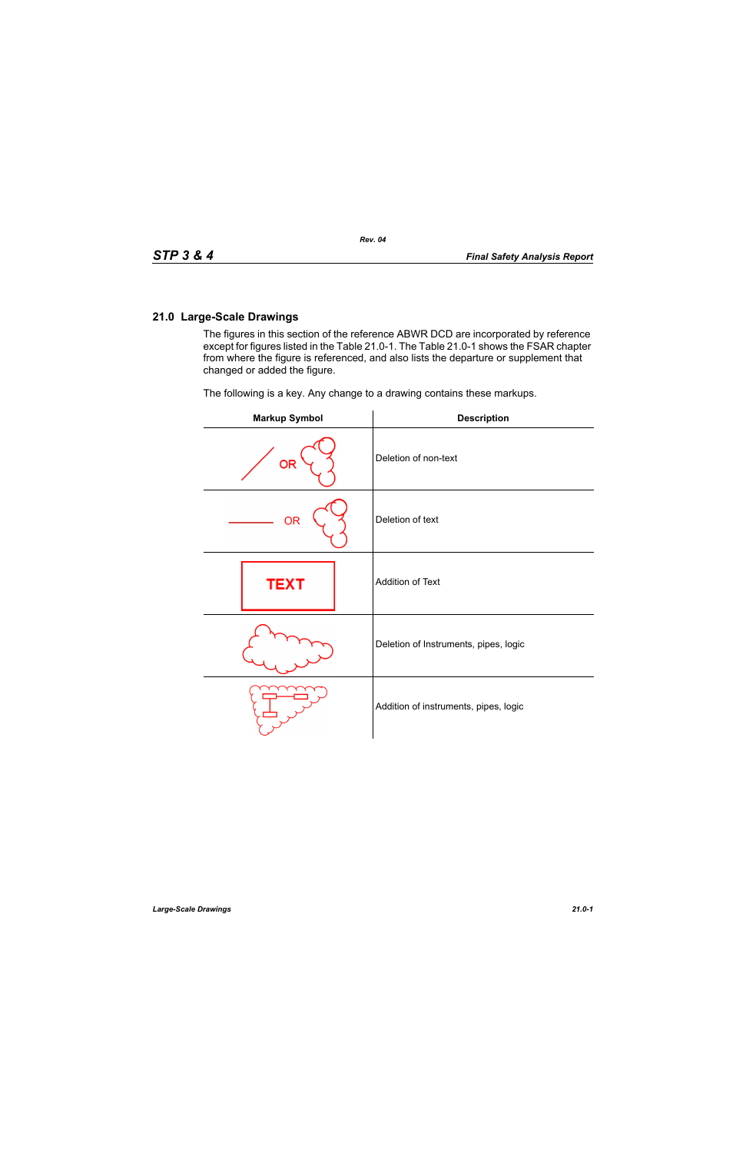## **21.0 Large-Scale Drawings**

The figures in this section of the reference ABWR DCD are incorporated by reference except for figures listed in the Table 21.0-1. The Table 21.0-1 shows the FSAR chapter from where the figure is referenced, and also lists the departure or supplement that changed or added the figure.

The following is a key. Any change to a drawing contains these markups.

| <b>Markup Symbol</b> | <b>Description</b>                    |
|----------------------|---------------------------------------|
| <b>OR</b>            | Deletion of non-text                  |
| <b>OR</b>            | Deletion of text                      |
| <b>TEXT</b>          | Addition of Text                      |
|                      | Deletion of Instruments, pipes, logic |
|                      | Addition of instruments, pipes, logic |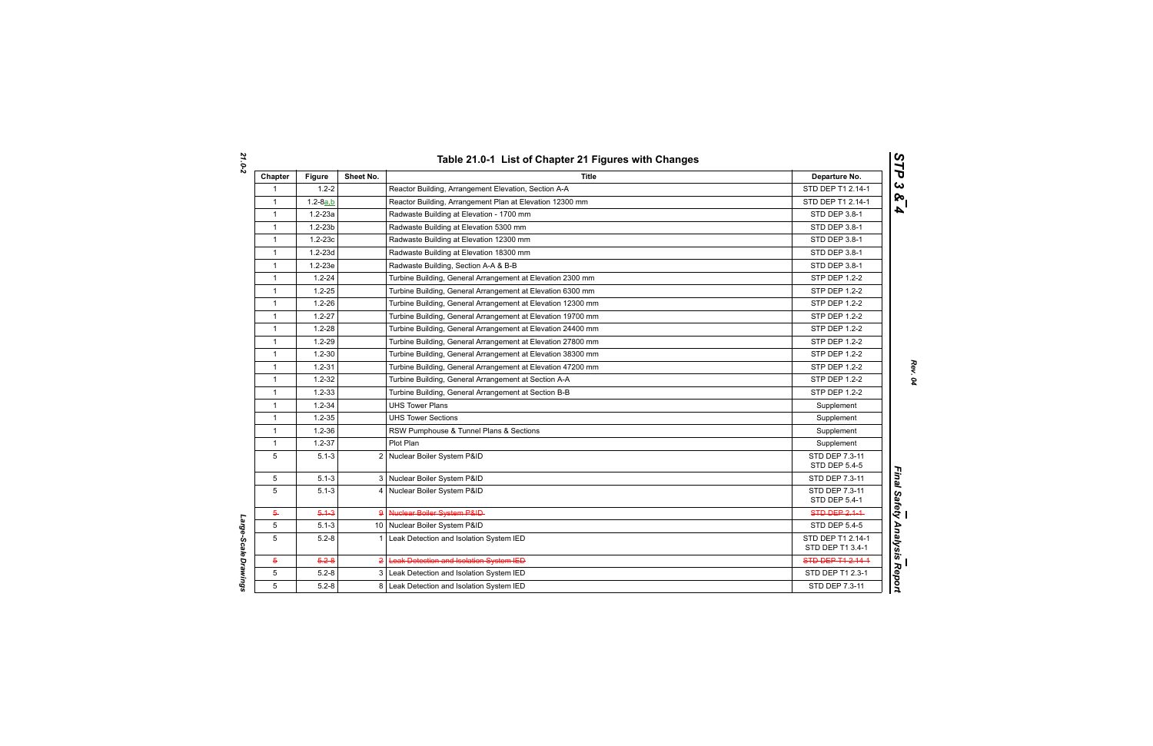| Chapter      | <b>Figure</b> | Sheet No. | <b>Title</b>                                                | Departure No.                         |
|--------------|---------------|-----------|-------------------------------------------------------------|---------------------------------------|
| -1           | $1.2 - 2$     |           | Reactor Building, Arrangement Elevation, Section A-A        | STD DEP T1 2.14-1                     |
| $\mathbf{1}$ | $1.2 - 8a.b$  |           | Reactor Building, Arrangement Plan at Elevation 12300 mm    | STD DEP T1 2.14-1                     |
| $\mathbf{1}$ | $1.2 - 23a$   |           | Radwaste Building at Elevation - 1700 mm                    | STD DEP 3.8-1                         |
| $\mathbf{1}$ | $1.2 - 23b$   |           | Radwaste Building at Elevation 5300 mm                      | <b>STD DEP 3.8-1</b>                  |
| $\mathbf{1}$ | $1.2 - 23c$   |           | Radwaste Building at Elevation 12300 mm                     | STD DEP 3.8-1                         |
| $\mathbf{1}$ | $1.2 - 23d$   |           | Radwaste Building at Elevation 18300 mm                     | STD DEP 3.8-1                         |
| $\mathbf{1}$ | $1.2 - 23e$   |           | Radwaste Building, Section A-A & B-B                        | STD DEP 3.8-1                         |
| $\mathbf{1}$ | $1.2 - 24$    |           | Turbine Building, General Arrangement at Elevation 2300 mm  | STP DEP 1.2-2                         |
| $\mathbf{1}$ | $1.2 - 25$    |           | Turbine Building, General Arrangement at Elevation 6300 mm  | STP DEP 1.2-2                         |
| $\mathbf{1}$ | $1.2 - 26$    |           | Turbine Building, General Arrangement at Elevation 12300 mm | <b>STP DEP 1.2-2</b>                  |
| $\mathbf{1}$ | $1.2 - 27$    |           | Turbine Building, General Arrangement at Elevation 19700 mm | <b>STP DEP 1.2-2</b>                  |
| $\mathbf{1}$ | $1.2 - 28$    |           | Turbine Building, General Arrangement at Elevation 24400 mm | <b>STP DEP 1.2-2</b>                  |
| $\mathbf{1}$ | $1.2 - 29$    |           | Turbine Building, General Arrangement at Elevation 27800 mm | <b>STP DEP 1.2-2</b>                  |
| $\mathbf{1}$ | $1.2 - 30$    |           | Turbine Building, General Arrangement at Elevation 38300 mm | <b>STP DEP 1.2-2</b>                  |
| $\mathbf{1}$ | $1.2 - 31$    |           | Turbine Building, General Arrangement at Elevation 47200 mm | STP DEP 1.2-2                         |
| $\mathbf{1}$ | $1.2 - 32$    |           | Turbine Building, General Arrangement at Section A-A        | <b>STP DEP 1.2-2</b>                  |
| $\mathbf{1}$ | $1.2 - 33$    |           | Turbine Building, General Arrangement at Section B-B        | STP DEP 1.2-2                         |
| $\mathbf{1}$ | $1.2 - 34$    |           | <b>UHS Tower Plans</b>                                      | Supplement                            |
| $\mathbf{1}$ | $1.2 - 35$    |           | <b>UHS Tower Sections</b>                                   | Supplement                            |
| $\mathbf{1}$ | $1.2 - 36$    |           | RSW Pumphouse & Tunnel Plans & Sections                     | Supplement                            |
| $\mathbf{1}$ | $1.2 - 37$    |           | Plot Plan                                                   | Supplement                            |
| 5            | $5.1 - 3$     |           | 2 Nuclear Boiler System P&ID                                | STD DEP 7.3-11<br>STD DEP 5.4-5       |
| 5            | $5.1 - 3$     |           | 3 Nuclear Boiler System P&ID                                | STD DEP 7.3-11                        |
| 5            | $5.1 - 3$     |           | 4 Nuclear Boiler System P&ID                                | STD DEP 7.3-11<br>STD DEP 5.4-1       |
| 5            | $5.1 - 3$     |           | 9 Nuclear Boiler System P&ID-                               | <b>STD-DEP-2.1-1-</b>                 |
| 5            | $5.1 - 3$     |           | 10 Nuclear Boiler System P&ID                               | <b>STD DEP 5.4-5</b>                  |
| 5            | $5.2 - 8$     |           | 1 Leak Detection and Isolation System IED                   | STD DEP T1 2.14-1<br>STD DEP T1 3.4-1 |
| 5            | $5.2 - 8$     |           | 2 Leak Detection and Isolation System IED                   | STD DEP T1 2.14-1                     |
| 5            | $5.2 - 8$     |           | 3 Leak Detection and Isolation System IED                   | STD DEP T1 2.3-1                      |
| 5            | $5.2 - 8$     |           | 8 Leak Detection and Isolation System IED                   | STD DEP 7.3-11                        |

*Large-Scale Drawings* 

Large-Scale Drawings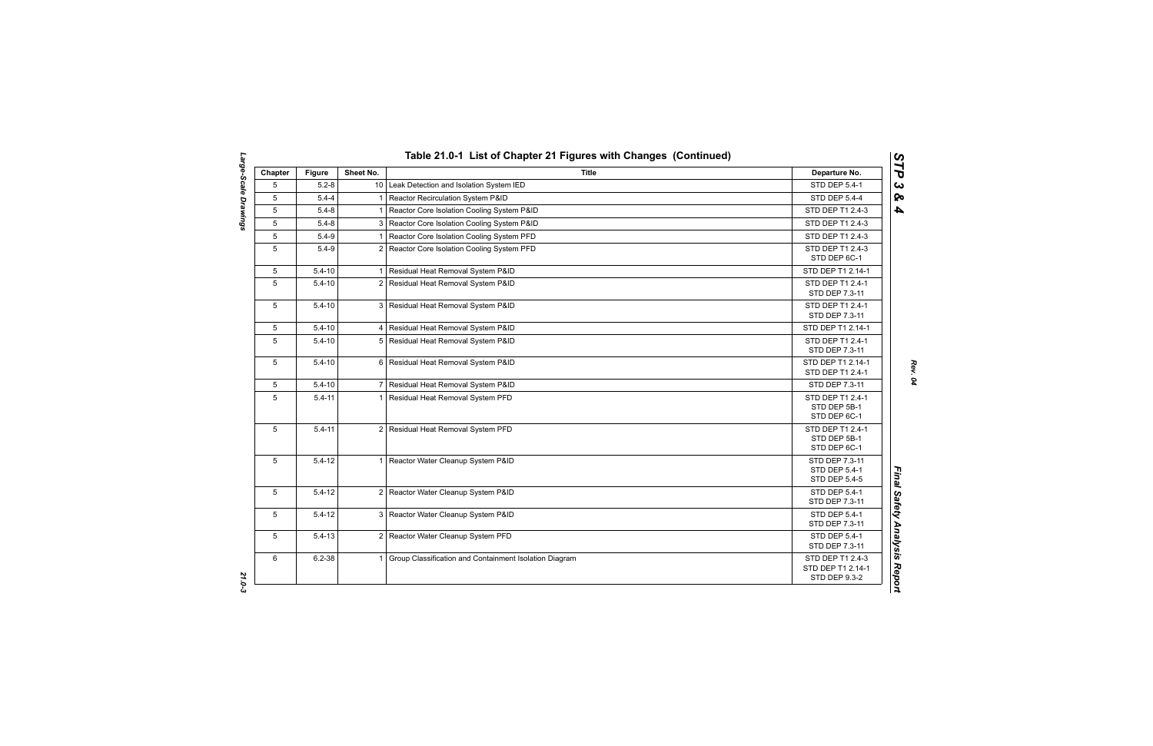| Chapter         | <b>Figure</b> | Sheet No.      | <b>Title</b>                                           | Departure No.                                                 |
|-----------------|---------------|----------------|--------------------------------------------------------|---------------------------------------------------------------|
| 5               | $5.2 - 8$     |                | 10 Leak Detection and Isolation System IED             | STD DEP 5.4-1                                                 |
| 5               | $5.4 - 4$     |                | 1 Reactor Recirculation System P&ID                    | <b>STD DEP 5.4-4</b>                                          |
| 5               | $5.4 - 8$     |                | Reactor Core Isolation Cooling System P&ID             | STD DEP T1 2.4-3                                              |
| 5               | $5.4 - 8$     | 3              | Reactor Core Isolation Cooling System P&ID             | STD DEP T1 2.4-3                                              |
| 5               | $5.4 - 9$     |                | Reactor Core Isolation Cooling System PFD              | STD DEP T1 2.4-3                                              |
| 5               | $5.4 - 9$     | $\overline{2}$ | Reactor Core Isolation Cooling System PFD              | STD DEP T1 2.4-3<br>STD DEP 6C-1                              |
| 5               | $5.4 - 10$    |                | Residual Heat Removal System P&ID                      | STD DEP T1 2.14-1                                             |
| 5               | $5.4 - 10$    |                | 2 Residual Heat Removal System P&ID                    | STD DEP T1 2.4-1<br>STD DEP 7.3-11                            |
| 5               | $5.4 - 10$    |                | 3 Residual Heat Removal System P&ID                    | STD DEP T1 2.4-1<br>STD DEP 7.3-11                            |
| 5               | $5.4 - 10$    |                | 4 Residual Heat Removal System P&ID                    | STD DEP T1 2.14-1                                             |
| $5\overline{)}$ | $5.4 - 10$    |                | 5 Residual Heat Removal System P&ID                    | STD DEP T1 2.4-1<br>STD DEP 7.3-11                            |
| 5               | $5.4 - 10$    |                | 6 Residual Heat Removal System P&ID                    | STD DEP T1 2.14-1<br>STD DEP T1 2.4-1                         |
| 5               | $5.4 - 10$    |                | 7 Residual Heat Removal System P&ID                    | STD DEP 7.3-11                                                |
| 5               | $5.4 - 11$    |                | 1 Residual Heat Removal System PFD                     | STD DEP T1 2.4-1<br>STD DEP 5B-1<br>STD DEP 6C-1              |
| 5               | $5.4 - 11$    |                | 2 Residual Heat Removal System PFD                     | STD DEP T1 2.4-1<br>STD DEP 5B-1<br>STD DEP 6C-1              |
| 5               | $5.4 - 12$    | 1              | Reactor Water Cleanup System P&ID                      | STD DEP 7.3-11<br><b>STD DEP 5.4-1</b><br>STD DEP 5.4-5       |
| 5               | $5.4 - 12$    |                | 2 Reactor Water Cleanup System P&ID                    | STD DEP 5.4-1<br>STD DEP 7.3-11                               |
| 5               | $5.4 - 12$    |                | 3 Reactor Water Cleanup System P&ID                    | <b>STD DEP 5.4-1</b><br>STD DEP 7.3-11                        |
| 5               | $5.4 - 13$    |                | 2 Reactor Water Cleanup System PFD                     | STD DEP 5.4-1<br>STD DEP 7.3-11                               |
| 6               | $6.2 - 38$    |                | Group Classification and Containment Isolation Diagram | STD DEP T1 2.4-3<br>STD DEP T1 2.14-1<br><b>STD DEP 9.3-2</b> |

*STP 3 & 4*

*Large-Scale Drawings 21.0-3* 21.0-3

Large-Scale Drawings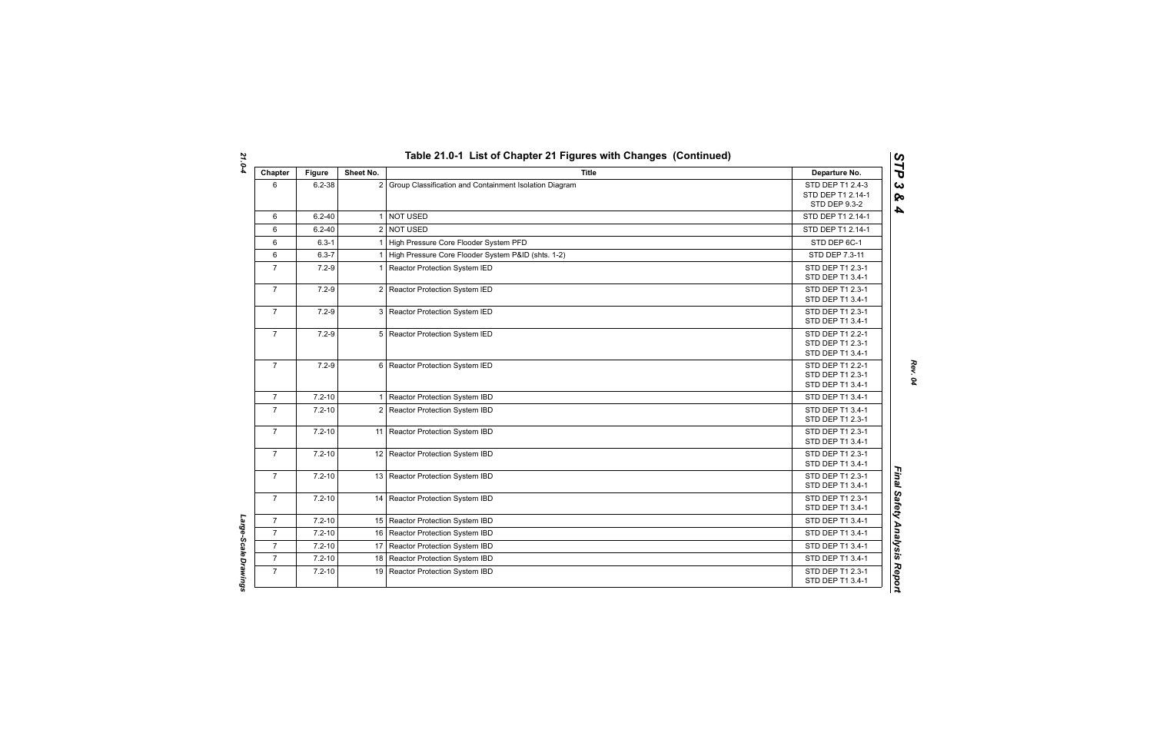| Chapter        | <b>Figure</b> | Sheet No.      | <b>Title</b>                                           | Departure No.                                                 |
|----------------|---------------|----------------|--------------------------------------------------------|---------------------------------------------------------------|
| 6              | $6.2 - 38$    | $\overline{2}$ | Group Classification and Containment Isolation Diagram | STD DEP T1 2.4-3<br>STD DEP T1 2.14-1<br><b>STD DEP 9.3-2</b> |
| 6              | $6.2 - 40$    | $\mathbf 1$    | <b>NOT USED</b>                                        | STD DEP T1 2.14-1                                             |
| 6              | $6.2 - 40$    |                | 2 NOT USED                                             | STD DEP T1 2.14-1                                             |
| 6              | $6.3 - 1$     |                | High Pressure Core Flooder System PFD                  | STD DEP 6C-1                                                  |
| 6              | $6.3 - 7$     |                | High Pressure Core Flooder System P&ID (shts. 1-2)     | STD DEP 7.3-11                                                |
| $\overline{7}$ | $7.2 - 9$     | 1              | Reactor Protection System IED                          | STD DEP T1 2.3-1<br>STD DEP T1 3.4-1                          |
| $\overline{7}$ | $7.2 - 9$     |                | 2 Reactor Protection System IED                        | STD DEP T1 2.3-1<br>STD DEP T1 3.4-1                          |
| $\overline{7}$ | $7.2 - 9$     | 3              | Reactor Protection System IED                          | STD DEP T1 2.3-1<br>STD DEP T1 3.4-1                          |
| $\mathbf{7}$   | $7.2 - 9$     |                | 5 Reactor Protection System IED                        | STD DEP T1 2.2-1<br>STD DEP T1 2.3-1<br>STD DEP T1 3.4-1      |
| $\overline{7}$ | $7.2 - 9$     |                | 6 Reactor Protection System IED                        | STD DEP T1 2.2-1<br>STD DEP T1 2.3-1<br>STD DEP T1 3.4-1      |
| $\overline{7}$ | $7.2 - 10$    | 1 <sup>1</sup> | Reactor Protection System IBD                          | STD DEP T1 3.4-1                                              |
| $\overline{7}$ | $7.2 - 10$    |                | 2 Reactor Protection System IBD                        | STD DEP T1 3.4-1<br>STD DEP T1 2.3-1                          |
| $\overline{7}$ | $7.2 - 10$    |                | 11 Reactor Protection System IBD                       | STD DEP T1 2.3-1<br>STD DEP T1 3.4-1                          |
| $\overline{7}$ | $7.2 - 10$    |                | 12 Reactor Protection System IBD                       | STD DEP T1 2.3-1<br>STD DEP T1 3.4-1                          |
| $\mathbf{7}$   | $7.2 - 10$    |                | 13 Reactor Protection System IBD                       | STD DEP T1 2.3-1<br>STD DEP T1 3.4-1                          |
| $\overline{7}$ | $7.2 - 10$    |                | 14 Reactor Protection System IBD                       | STD DEP T1 2.3-1<br>STD DEP T1 3.4-1                          |
| $\mathbf{7}$   | $7.2 - 10$    |                | 15 Reactor Protection System IBD                       | STD DEP T1 3.4-1                                              |
| $\overline{7}$ | $7.2 - 10$    |                | 16 Reactor Protection System IBD                       | STD DEP T1 3.4-1                                              |
| $\overline{7}$ | $7.2 - 10$    |                | 17 Reactor Protection System IBD                       | STD DEP T1 3.4-1                                              |
| $\overline{7}$ | $7.2 - 10$    |                | 18 Reactor Protection System IBD                       | STD DEP T1 3.4-1                                              |
| $\overline{7}$ | $7.2 - 10$    | 19             | Reactor Protection System IBD                          | STD DEP T1 2.3-1<br>STD DEP T1 3.4-1                          |

*Rev. 04*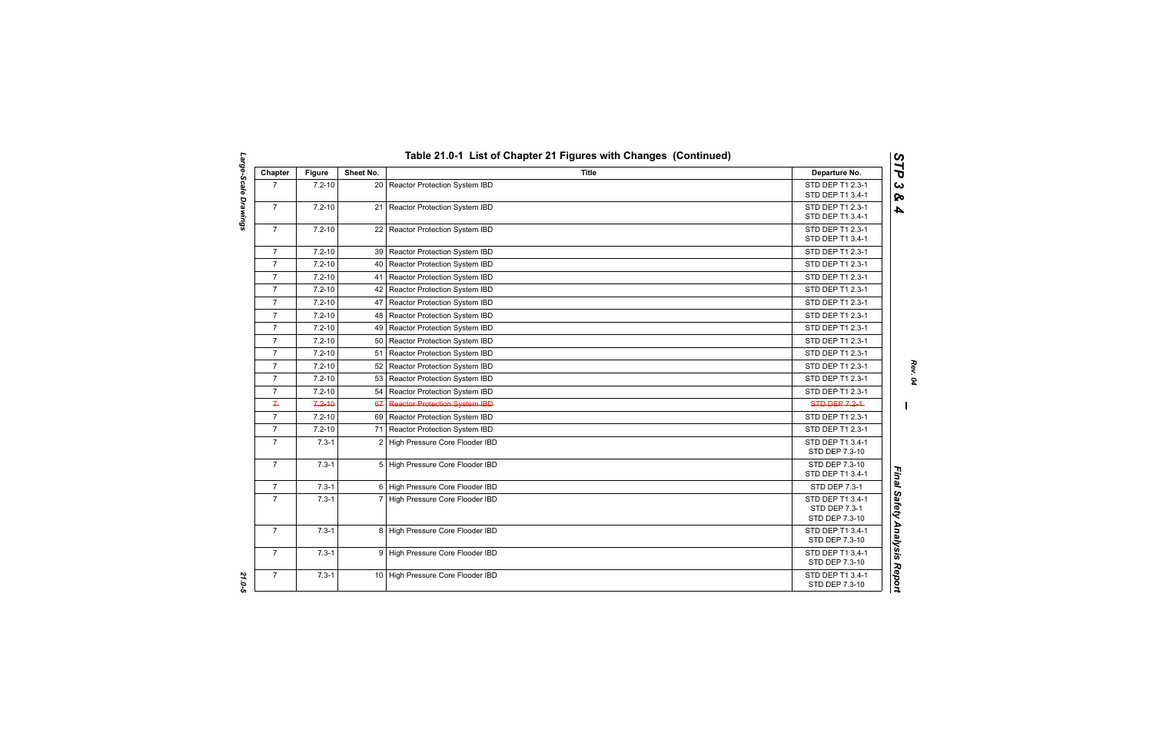| Chapter        | <b>Figure</b> | Sheet No. | <b>Title</b>                         | Departure No.                                       |
|----------------|---------------|-----------|--------------------------------------|-----------------------------------------------------|
| $\overline{7}$ | $7.2 - 10$    |           | 20 Reactor Protection System IBD     | STD DEP T1 2.3-1<br>STD DEP T1 3.4-1                |
| $\overline{7}$ | $7.2 - 10$    |           | 21 Reactor Protection System IBD     | STD DEP T1 2.3-1<br>STD DEP T1 3.4-1                |
| $\overline{7}$ | $7.2 - 10$    |           | 22 Reactor Protection System IBD     | STD DEP T1 2.3-1<br>STD DEP T1 3.4-1                |
| $\overline{7}$ | $7.2 - 10$    |           | 39 Reactor Protection System IBD     | STD DEP T1 2.3-1                                    |
| $\overline{7}$ | $7.2 - 10$    |           | 40   Reactor Protection System IBD   | STD DEP T1 2.3-1                                    |
| $\overline{7}$ | $7.2 - 10$    |           | 41 Reactor Protection System IBD     | STD DEP T1 2.3-1                                    |
| $\overline{7}$ | $7.2 - 10$    | 42        | Reactor Protection System IBD        | STD DEP T1 2.3-1                                    |
| $\overline{7}$ | $7.2 - 10$    | 47        | Reactor Protection System IBD        | STD DEP T1 2.3-1                                    |
| $\overline{7}$ | $7.2 - 10$    |           | 48   Reactor Protection System IBD   | STD DEP T1 2.3-1                                    |
| $\overline{7}$ | $7.2 - 10$    |           | 49   Reactor Protection System IBD   | STD DEP T1 2.3-1                                    |
| $\overline{7}$ | $7.2 - 10$    |           | 50 Reactor Protection System IBD     | STD DEP T1 2.3-1                                    |
| $\overline{7}$ | $7.2 - 10$    |           | 51 Reactor Protection System IBD     | STD DEP T1 2.3-1                                    |
| $\overline{7}$ | $7.2 - 10$    |           | 52 Reactor Protection System IBD     | STD DEP T1 2.3-1                                    |
| $\overline{7}$ | $7.2 - 10$    |           | 53 Reactor Protection System IBD     | STD DEP T1 2.3-1                                    |
| $\overline{7}$ | $7.2 - 10$    |           | 54 Reactor Protection System IBD     | STD DEP T1 2.3-1                                    |
| $\mathcal{I}$  | $7.2 - 10$    | 67        | <b>Reactor Protection System IBD</b> | <b>STD DEP 7.2-1</b>                                |
| $\overline{7}$ | $7.2 - 10$    |           | 69 Reactor Protection System IBD     | STD DEP T1 2.3-1                                    |
| $\overline{7}$ | $7.2 - 10$    |           | 71 Reactor Protection System IBD     | STD DEP T1 2.3-1                                    |
| $\overline{7}$ | $7.3 - 1$     |           | 2 High Pressure Core Flooder IBD     | STD DEP T1 3.4-1<br>STD DEP 7.3-10                  |
| $\overline{7}$ | $7.3 - 1$     |           | 5 High Pressure Core Flooder IBD     | STD DEP 7.3-10<br>STD DEP T1 3.4-1                  |
| $\overline{7}$ | $7.3 - 1$     |           | 6 High Pressure Core Flooder IBD     | <b>STD DEP 7.3-1</b>                                |
| $\overline{7}$ | $7.3 - 1$     |           | 7 High Pressure Core Flooder IBD     | STD DEP T1 3.4-1<br>STD DEP 7.3-1<br>STD DEP 7.3-10 |
| $\overline{7}$ | $7.3 - 1$     |           | 8 High Pressure Core Flooder IBD     | STD DEP T1 3.4-1<br>STD DEP 7.3-10                  |
| $\overline{7}$ | $7.3 - 1$     |           | 9 High Pressure Core Flooder IBD     | STD DEP T1 3.4-1<br>STD DEP 7.3-10                  |
| $\overline{7}$ | $7.3 - 1$     |           | 10 High Pressure Core Flooder IBD    | STD DEP T1 3.4-1<br>STD DEP 7.3-10                  |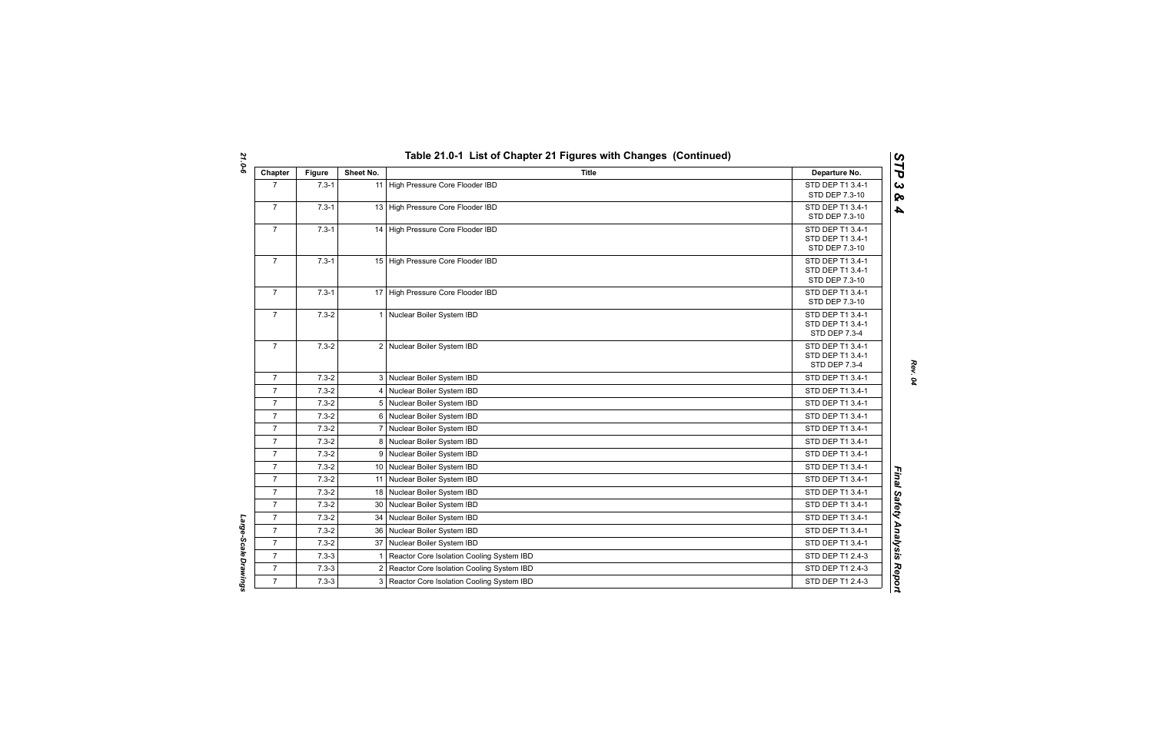| Chapter        | <b>Figure</b> | Sheet No.       | <b>Title</b>                                | Departure No.                                                |
|----------------|---------------|-----------------|---------------------------------------------|--------------------------------------------------------------|
| $\overline{7}$ | $7.3 - 1$     |                 | 11 High Pressure Core Flooder IBD           | STD DEP T1 3.4-1<br>STD DEP 7.3-10                           |
| $\overline{7}$ | $7.3 - 1$     |                 | 13 High Pressure Core Flooder IBD           | STD DEP T1 3.4-1<br>STD DEP 7.3-10                           |
| $\overline{7}$ | $7.3 - 1$     |                 | 14 High Pressure Core Flooder IBD           | STD DEP T1 3.4-1<br>STD DEP T1 3.4-1<br>STD DEP 7.3-10       |
| $\overline{7}$ | $7.3 - 1$     |                 | 15 High Pressure Core Flooder IBD           | STD DEP T1 3.4-1<br>STD DEP T1 3.4-1<br>STD DEP 7.3-10       |
| $\overline{7}$ | $7.3 - 1$     |                 | 17 High Pressure Core Flooder IBD           | STD DEP T1 3.4-1<br>STD DEP 7.3-10                           |
| $\overline{7}$ | $7.3 - 2$     |                 | 1 Nuclear Boiler System IBD                 | STD DEP T1 3.4-1<br>STD DEP T1 3.4-1<br><b>STD DEP 7.3-4</b> |
| $\overline{7}$ | $7.3 - 2$     |                 | 2 Nuclear Boiler System IBD                 | STD DEP T1 3.4-1<br>STD DEP T1 3.4-1<br>STD DEP 7.3-4        |
| $\overline{7}$ | $7.3 - 2$     |                 | 3 Nuclear Boiler System IBD                 | STD DEP T1 3.4-1                                             |
| $\overline{7}$ | $7.3 - 2$     |                 | 4 Nuclear Boiler System IBD                 | STD DEP T1 3.4-1                                             |
| $\overline{7}$ | $7.3 - 2$     |                 | 5 Nuclear Boiler System IBD                 | STD DEP T1 3.4-1                                             |
| $\overline{7}$ | $7.3 - 2$     |                 | 6 Nuclear Boiler System IBD                 | STD DEP T1 3.4-1                                             |
| $\overline{7}$ | $7.3 - 2$     |                 | 7 Nuclear Boiler System IBD                 | STD DEP T1 3.4-1                                             |
| $\overline{7}$ | $7.3 - 2$     |                 | 8 Nuclear Boiler System IBD                 | STD DEP T1 3.4-1                                             |
| $\overline{7}$ | $7.3 - 2$     | 9               | Nuclear Boiler System IBD                   | STD DEP T1 3.4-1                                             |
| $\overline{7}$ | $7.3 - 2$     |                 | 10 Nuclear Boiler System IBD                | STD DEP T1 3.4-1                                             |
| $\overline{7}$ | $7.3 - 2$     |                 | 11 Nuclear Boiler System IBD                | STD DEP T1 3.4-1                                             |
| $\overline{7}$ | $7.3 - 2$     |                 | 18 Nuclear Boiler System IBD                | STD DEP T1 3.4-1                                             |
| $\overline{7}$ | $7.3 - 2$     | 30 <sup>°</sup> | Nuclear Boiler System IBD                   | STD DEP T1 3.4-1                                             |
| $\overline{7}$ | $7.3 - 2$     | 34              | Nuclear Boiler System IBD                   | STD DEP T1 3.4-1                                             |
| $\overline{7}$ | $7.3 - 2$     | 36              | Nuclear Boiler System IBD                   | STD DEP T1 3.4-1                                             |
| $\overline{7}$ | $7.3 - 2$     |                 | 37 Nuclear Boiler System IBD                | STD DEP T1 3.4-1                                             |
| $\overline{7}$ | $7.3 - 3$     | 1               | Reactor Core Isolation Cooling System IBD   | STD DEP T1 2.4-3                                             |
| $\overline{7}$ | $7.3 - 3$     | $\overline{2}$  | Reactor Core Isolation Cooling System IBD   | STD DEP T1 2.4-3                                             |
| $\overline{7}$ | $7.3 - 3$     |                 | 3 Reactor Core Isolation Cooling System IBD | STD DEP T1 2.4-3                                             |

*Large-Scale Drawings* 

Large-Scale Drawings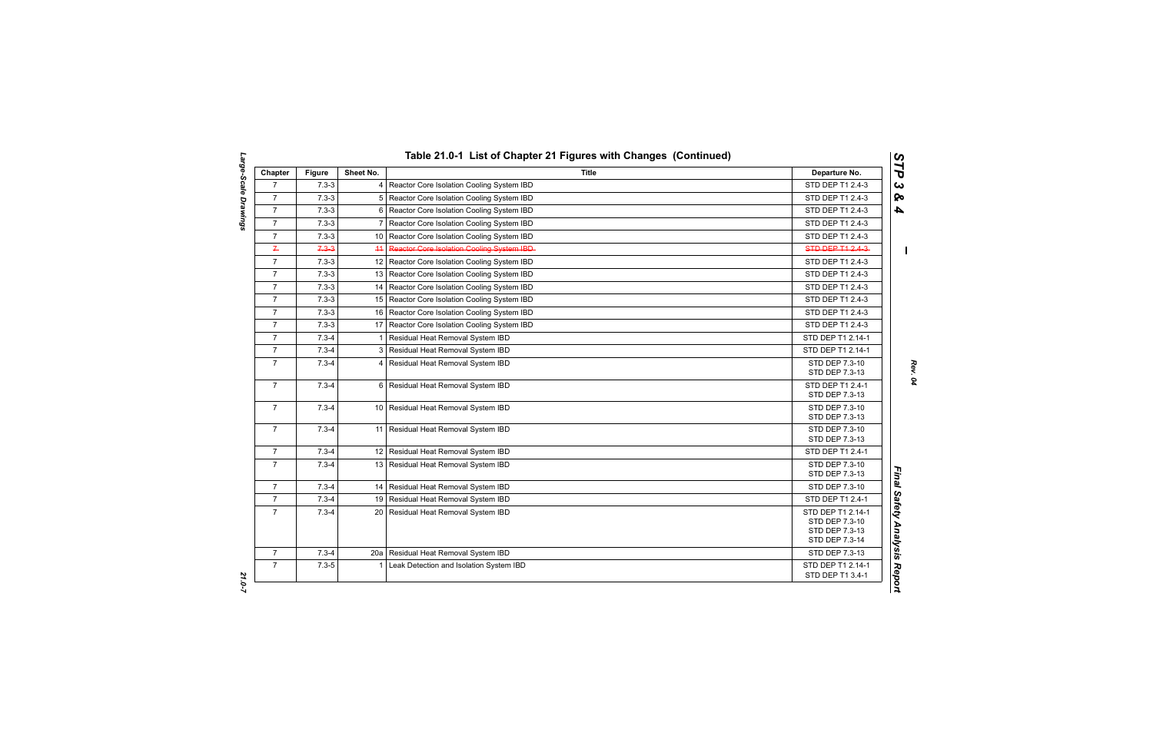| Chapter        | <b>Figure</b> | Sheet No.       | <b>Title</b>                                   | Departure No.                                                           |
|----------------|---------------|-----------------|------------------------------------------------|-------------------------------------------------------------------------|
| $\overline{7}$ | $7.3 - 3$     |                 | 4 Reactor Core Isolation Cooling System IBD    | STD DEP T1 2.4-3                                                        |
| $\overline{7}$ | $7.3 - 3$     |                 | 5 Reactor Core Isolation Cooling System IBD    | STD DEP T1 2.4-3                                                        |
| $\overline{7}$ | $7.3 - 3$     | 6               | Reactor Core Isolation Cooling System IBD      | STD DEP T1 2.4-3                                                        |
| $\overline{7}$ | $7.3 - 3$     | 7               | Reactor Core Isolation Cooling System IBD      | STD DEP T1 2.4-3                                                        |
| $\overline{7}$ | $7.3 - 3$     |                 | 10 Reactor Core Isolation Cooling System IBD   | STD DEP T1 2.4-3                                                        |
| $\overline{r}$ | $7.3 - 3$     | 44              | Reactor Gore Isolation Gooling System IBD-     | STD DEP T1 2.4-3-                                                       |
| $\overline{7}$ | $7.3 - 3$     |                 | 12 Reactor Core Isolation Cooling System IBD   | STD DEP T1 2.4-3                                                        |
| $\overline{7}$ | $7.3 - 3$     |                 | 13   Reactor Core Isolation Cooling System IBD | STD DEP T1 2.4-3                                                        |
| $\overline{7}$ | $7.3 - 3$     |                 | 14   Reactor Core Isolation Cooling System IBD | STD DEP T1 2.4-3                                                        |
| $\overline{7}$ | $7.3 - 3$     |                 | 15   Reactor Core Isolation Cooling System IBD | STD DEP T1 2.4-3                                                        |
| $\overline{7}$ | $7.3 - 3$     |                 | 16 Reactor Core Isolation Cooling System IBD   | STD DEP T1 2.4-3                                                        |
| $\overline{7}$ | $7.3 - 3$     |                 | 17   Reactor Core Isolation Cooling System IBD | STD DEP T1 2.4-3                                                        |
| $\overline{7}$ | $7.3 - 4$     | $\mathbf{1}$    | Residual Heat Removal System IBD               | STD DEP T1 2.14-1                                                       |
| $\overline{7}$ | $7.3 - 4$     |                 | 3 Residual Heat Removal System IBD             | STD DEP T1 2.14-1                                                       |
| $\overline{7}$ | $7.3 - 4$     | $\overline{4}$  | Residual Heat Removal System IBD               | STD DEP 7.3-10<br>STD DEP 7.3-13                                        |
| $\overline{7}$ | $7.3 - 4$     |                 | 6 Residual Heat Removal System IBD             | STD DEP T1 2.4-1<br>STD DEP 7.3-13                                      |
| $\overline{7}$ | $7.3 - 4$     |                 | 10 Residual Heat Removal System IBD            | STD DEP 7.3-10<br>STD DEP 7.3-13                                        |
| $\overline{7}$ | $7.3 - 4$     | 11              | Residual Heat Removal System IBD               | STD DEP 7.3-10<br>STD DEP 7.3-13                                        |
| $\overline{7}$ | $7.3 - 4$     |                 | 12 Residual Heat Removal System IBD            | STD DEP T1 2.4-1                                                        |
| $\overline{7}$ | $7.3 - 4$     | 13 <sup>1</sup> | Residual Heat Removal System IBD               | STD DEP 7.3-10<br>STD DEP 7.3-13                                        |
| $\overline{7}$ | $7.3 - 4$     |                 | 14 Residual Heat Removal System IBD            | STD DEP 7.3-10                                                          |
| $\overline{7}$ | $7.3 - 4$     |                 | 19 Residual Heat Removal System IBD            | STD DEP T1 2.4-1                                                        |
| $\overline{7}$ | $7.3 - 4$     |                 | 20   Residual Heat Removal System IBD          | STD DEP T1 2.14-1<br>STD DEP 7.3-10<br>STD DEP 7.3-13<br>STD DEP 7.3-14 |
| $\overline{7}$ | $7.3 - 4$     |                 | 20a Residual Heat Removal System IBD           | STD DEP 7.3-13                                                          |
| $\overline{7}$ | $7.3 - 5$     | 1               | Leak Detection and Isolation System IBD        | STD DEP T1 2.14-1<br>STD DEP T1 3.4-1                                   |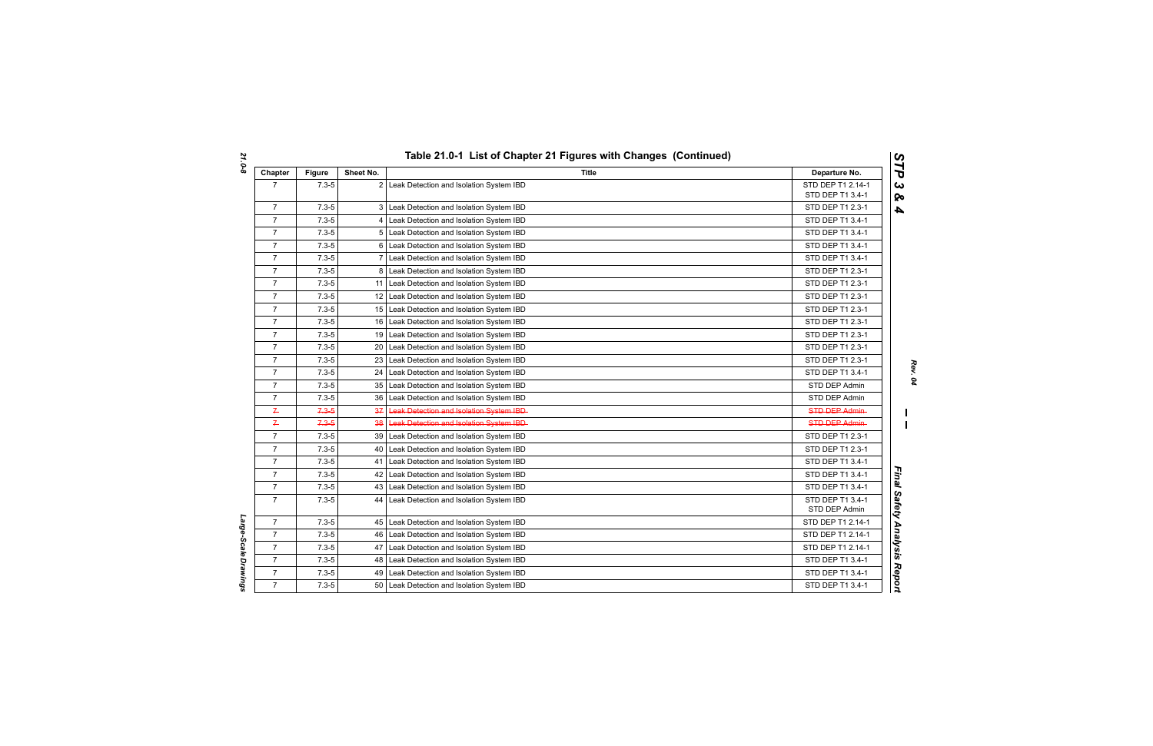| Chapter        | <b>Figure</b> | Sheet No. | Title                                          | Departure No.                     |
|----------------|---------------|-----------|------------------------------------------------|-----------------------------------|
| $\overline{7}$ | $7.3 - 5$     |           | 2 Leak Detection and Isolation System IBD      | STD DEP T1 2.14-1                 |
|                |               |           |                                                | STD DEP T1 3.4-1                  |
| $\overline{7}$ | $7.3 - 5$     |           | 3 Leak Detection and Isolation System IBD      | STD DEP T1 2.3-1                  |
| $\overline{7}$ | $7.3 - 5$     |           | 4 Leak Detection and Isolation System IBD      | STD DEP T1 3.4-1                  |
| $\overline{7}$ | $7.3 - 5$     |           | 5 Leak Detection and Isolation System IBD      | STD DEP T1 3.4-1                  |
| $\overline{7}$ | $7.3 - 5$     |           | 6 Leak Detection and Isolation System IBD      | STD DEP T1 3.4-1                  |
| $\overline{7}$ | $7.3 - 5$     |           | 7 Leak Detection and Isolation System IBD      | STD DEP T1 3.4-1                  |
| $\overline{7}$ | $7.3 - 5$     |           | 8 Leak Detection and Isolation System IBD      | STD DEP T1 2.3-1                  |
| $\overline{7}$ | $7.3 - 5$     |           | 11 Leak Detection and Isolation System IBD     | STD DEP T1 2.3-1                  |
| $\overline{7}$ | $7.3 - 5$     |           | 12 Leak Detection and Isolation System IBD     | STD DEP T1 2.3-1                  |
| $\overline{7}$ | $7.3 - 5$     |           | 15 Leak Detection and Isolation System IBD     | STD DEP T1 2.3-1                  |
| $\overline{7}$ | $7.3 - 5$     |           | 16 Leak Detection and Isolation System IBD     | STD DEP T1 2.3-1                  |
| $\overline{7}$ | $7.3 - 5$     |           | 19 Leak Detection and Isolation System IBD     | STD DEP T1 2.3-1                  |
| $\overline{7}$ | $7.3 - 5$     |           | 20 Leak Detection and Isolation System IBD     | STD DEP T1 2.3-1                  |
| $\overline{7}$ | $7.3 - 5$     |           | 23 Leak Detection and Isolation System IBD     | STD DEP T1 2.3-1                  |
| $\overline{7}$ | $7.3 - 5$     |           | 24 Leak Detection and Isolation System IBD     | STD DEP T1 3.4-1                  |
| $\overline{7}$ | $7.3 - 5$     |           | 35 Leak Detection and Isolation System IBD     | STD DEP Admin                     |
| $\overline{7}$ | $7.3 - 5$     |           | 36 Leak Detection and Isolation System IBD     | STD DEP Admin                     |
| $\leftarrow$   | $7.3 - 5$     | 37 I      | <b>Leak Detection and Isolation System IBD</b> | <b>STD DEP Admin</b>              |
| $\overline{r}$ | $7.3 - 5$     |           | 38 Leak Detection and Isolation System IBD     | <b>STD DEP Admin-</b>             |
| $\overline{7}$ | $7.3 - 5$     |           | 39   Leak Detection and Isolation System IBD   | STD DEP T1 2.3-1                  |
| $\overline{7}$ | $7.3 - 5$     | 40 l      | Leak Detection and Isolation System IBD        | STD DEP T1 2.3-1                  |
| $\overline{7}$ | $7.3 - 5$     | 41        | Leak Detection and Isolation System IBD        | STD DEP T1 3.4-1                  |
| $\overline{7}$ | $7.3 - 5$     |           | 42 Leak Detection and Isolation System IBD     | STD DEP T1 3.4-1                  |
| $\overline{7}$ | $7.3 - 5$     |           | 43 Leak Detection and Isolation System IBD     | STD DEP T1 3.4-1                  |
| $\overline{7}$ | $7.3 - 5$     |           | 44 Leak Detection and Isolation System IBD     | STD DEP T1 3.4-1<br>STD DEP Admin |
| $\overline{7}$ | $7.3 - 5$     |           | 45 Leak Detection and Isolation System IBD     | STD DEP T1 2.14-1                 |
| $\overline{7}$ | $7.3 - 5$     |           | 46 Leak Detection and Isolation System IBD     | STD DEP T1 2.14-1                 |
| $\overline{7}$ | $7.3 - 5$     | 47        | Leak Detection and Isolation System IBD        | STD DEP T1 2.14-1                 |
| $\overline{7}$ | $7.3 - 5$     |           | 48 Leak Detection and Isolation System IBD     | STD DEP T1 3.4-1                  |
| $\overline{7}$ | $7.3 - 5$     |           | 49 Leak Detection and Isolation System IBD     | STD DEP T1 3.4-1                  |
| $\overline{7}$ | $7.3 - 5$     |           | 50 Leak Detection and Isolation System IBD     | STD DEP T1 3.4-1                  |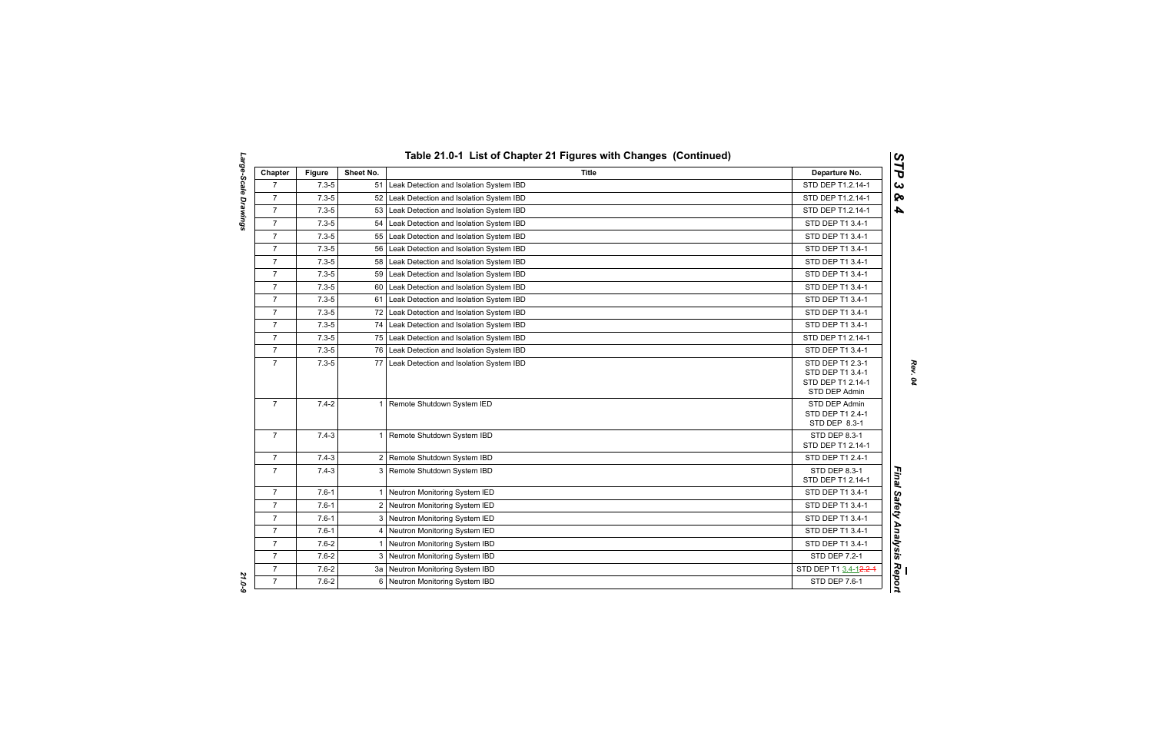| Chapter        | <b>Figure</b> | Sheet No.      | <b>Title</b>                            | Departure No.                                                              |
|----------------|---------------|----------------|-----------------------------------------|----------------------------------------------------------------------------|
| $\overline{7}$ | $7.3 - 5$     | 51             | Leak Detection and Isolation System IBD | STD DEP T1.2.14-1                                                          |
| $\overline{7}$ | $7.3 - 5$     | 52             | Leak Detection and Isolation System IBD | STD DEP T1.2.14-1                                                          |
| $\overline{7}$ | $7.3 - 5$     | 53             | Leak Detection and Isolation System IBD | STD DEP T1.2.14-1                                                          |
| $\overline{7}$ | $7.3 - 5$     | 54             | Leak Detection and Isolation System IBD | STD DEP T1 3.4-1                                                           |
| $\overline{7}$ | $7.3 - 5$     | 55             | Leak Detection and Isolation System IBD | STD DEP T1 3.4-1                                                           |
| $\overline{7}$ | $7.3 - 5$     | 56             | Leak Detection and Isolation System IBD | STD DEP T1 3.4-1                                                           |
| $\overline{7}$ | $7.3 - 5$     | 58             | Leak Detection and Isolation System IBD | STD DEP T1 3.4-1                                                           |
| $\overline{7}$ | $7.3 - 5$     | 59             | Leak Detection and Isolation System IBD | STD DEP T1 3.4-1                                                           |
| $\overline{7}$ | $7.3 - 5$     | 60             | Leak Detection and Isolation System IBD | STD DEP T1 3.4-1                                                           |
| $\overline{7}$ | $7.3 - 5$     | 61             | Leak Detection and Isolation System IBD | STD DEP T1 3.4-1                                                           |
| $\overline{7}$ | $7.3 - 5$     | 72             | Leak Detection and Isolation System IBD | STD DEP T1 3.4-1                                                           |
| $\overline{7}$ | $7.3 - 5$     | 74             | Leak Detection and Isolation System IBD | STD DEP T1 3.4-1                                                           |
| $\overline{7}$ | $7.3 - 5$     | 75             | Leak Detection and Isolation System IBD | STD DEP T1 2.14-1                                                          |
| $\overline{7}$ | $7.3 - 5$     | 76             | Leak Detection and Isolation System IBD | STD DEP T1 3.4-1                                                           |
| $\overline{7}$ | $7.3 - 5$     | 77             | Leak Detection and Isolation System IBD | STD DEP T1 2.3-1<br>STD DEP T1 3.4-1<br>STD DEP T1 2.14-1<br>STD DEP Admin |
| $\overline{7}$ | $7.4 - 2$     | $\mathbf{1}$   | Remote Shutdown System IED              | STD DEP Admin<br>STD DEP T1 2.4-1<br>STD DEP 8.3-1                         |
| $\overline{7}$ | $7.4 - 3$     | 1              | Remote Shutdown System IBD              | STD DEP 8.3-1<br>STD DEP T1 2.14-1                                         |
| $\overline{7}$ | $7.4 - 3$     |                | 2 Remote Shutdown System IBD            | STD DEP T1 2.4-1                                                           |
| $\overline{7}$ | $7.4 - 3$     | 3              | Remote Shutdown System IBD              | STD DEP 8.3-1<br>STD DEP T1 2.14-1                                         |
| $\overline{7}$ | $7.6 - 1$     | $\mathbf{1}$   | Neutron Monitoring System IED           | STD DEP T1 3.4-1                                                           |
| $\overline{7}$ | $7.6 - 1$     | $\overline{2}$ | Neutron Monitoring System IED           | STD DEP T1 3.4-1                                                           |
| $\overline{7}$ | $7.6 - 1$     | 3              | Neutron Monitoring System IED           | STD DEP T1 3.4-1                                                           |
| $\overline{7}$ | $7.6 - 1$     | 4              | Neutron Monitoring System IED           | STD DEP T1 3.4-1                                                           |
| $\overline{7}$ | $7.6 - 2$     | $\mathbf{1}$   | Neutron Monitoring System IBD           | STD DEP T1 3.4-1                                                           |
| $\overline{7}$ | $7.6 - 2$     |                | 3 Neutron Monitoring System IBD         | STD DEP 7.2-1                                                              |
| $\overline{7}$ | $7.6 - 2$     |                | 3a Neutron Monitoring System IBD        | STD DEP T1 3.4-12.2-4                                                      |
| $\overline{7}$ | $7.6 - 2$     | 6              | Neutron Monitoring System IBD           | STD DEP 7.6-1                                                              |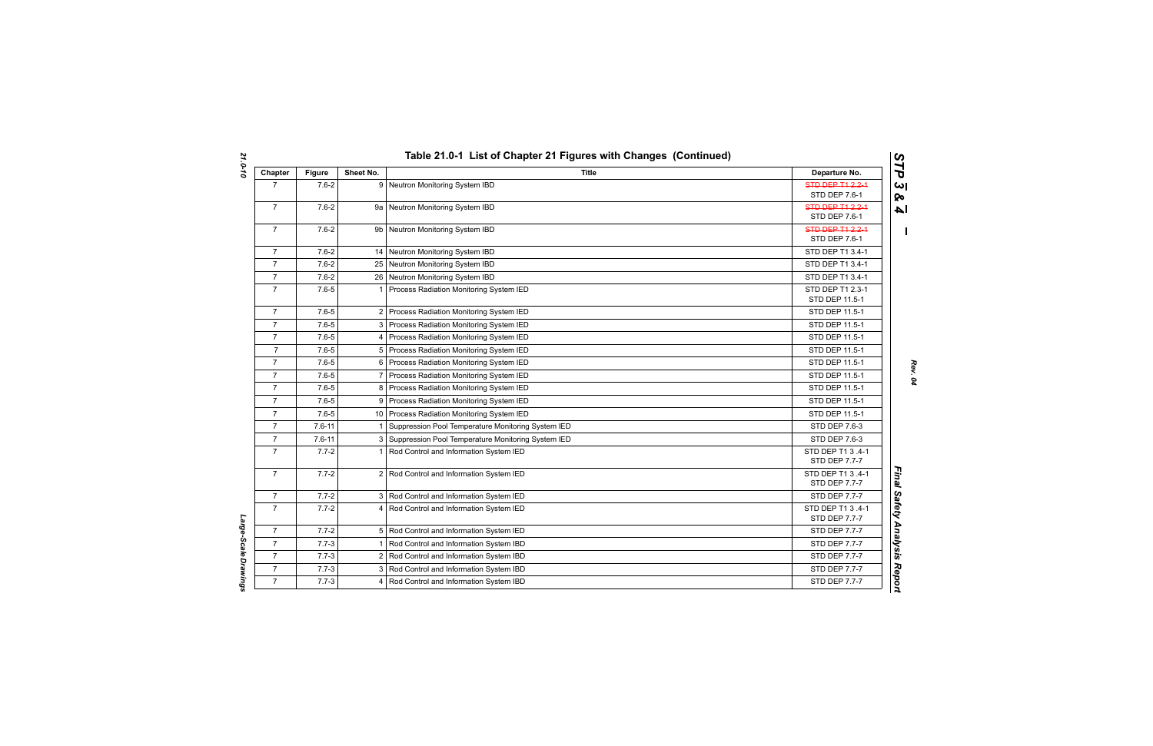| Chapter        | <b>Figure</b> | Sheet No.      | <b>Title</b>                                         | Departure No.                             |
|----------------|---------------|----------------|------------------------------------------------------|-------------------------------------------|
| $\overline{7}$ | $7.6 - 2$     |                | 9 Neutron Monitoring System IBD                      | <b>STD DEP T1 2.2-1</b><br>STD DEP 7.6-1  |
| $\overline{7}$ | $7.6 - 2$     |                | 9a Neutron Monitoring System IBD                     | <b>STD DEP T1 2.2-1</b><br>STD DEP 7.6-1  |
| $\overline{7}$ | $7.6 - 2$     |                | 9b Neutron Monitoring System IBD                     | <b>STD DEP T1 2.2-1</b><br>STD DEP 7.6-1  |
| $\overline{7}$ | $7.6 - 2$     |                | 14 Neutron Monitoring System IBD                     | STD DEP T1 3.4-1                          |
| $\overline{7}$ | $7.6 - 2$     |                | 25 Neutron Monitoring System IBD                     | STD DEP T1 3.4-1                          |
| $\overline{7}$ | $7.6 - 2$     |                | 26 Neutron Monitoring System IBD                     | STD DEP T1 3.4-1                          |
| $\overline{7}$ | $7.6 - 5$     | $\overline{1}$ | Process Radiation Monitoring System IED              | STD DEP T1 2.3-1<br>STD DEP 11.5-1        |
| $\overline{7}$ | $7.6 - 5$     |                | 2 Process Radiation Monitoring System IED            | STD DEP 11.5-1                            |
| $\overline{7}$ | $7.6 - 5$     |                | 3 Process Radiation Monitoring System IED            | STD DEP 11.5-1                            |
| $\overline{7}$ | $7.6 - 5$     | 4              | Process Radiation Monitoring System IED              | STD DEP 11.5-1                            |
| $\overline{7}$ | $7.6 - 5$     | 5              | Process Radiation Monitoring System IED              | STD DEP 11.5-1                            |
| $\overline{7}$ | $7.6 - 5$     |                | 6 Process Radiation Monitoring System IED            | STD DEP 11.5-1                            |
| $\overline{7}$ | $7.6 - 5$     | $\overline{7}$ | Process Radiation Monitoring System IED              | STD DEP 11.5-1                            |
| $\overline{7}$ | $7.6 - 5$     | 8              | Process Radiation Monitoring System IED              | STD DEP 11.5-1                            |
| $\overline{7}$ | $7.6 - 5$     |                | 9 Process Radiation Monitoring System IED            | STD DEP 11.5-1                            |
| $\overline{7}$ | $7.6 - 5$     |                | 10 Process Radiation Monitoring System IED           | STD DEP 11.5-1                            |
| $\overline{7}$ | $7.6 - 11$    | $\mathbf{1}$   | Suppression Pool Temperature Monitoring System IED   | STD DEP 7.6-3                             |
| $\overline{7}$ | $7.6 - 11$    |                | 3 Suppression Pool Temperature Monitoring System IED | STD DEP 7.6-3                             |
| $\overline{7}$ | $7.7 - 2$     | $\mathbf{1}$   | Rod Control and Information System IED               | STD DEP T1 3 .4-1<br>STD DEP 7.7-7        |
| $\overline{7}$ | $7.7 - 2$     |                | 2 Rod Control and Information System IED             | STD DEP T1 3 .4-1<br><b>STD DEP 7.7-7</b> |
| $\overline{7}$ | $7.7 - 2$     |                | 3 Rod Control and Information System IED             | <b>STD DEP 7.7-7</b>                      |
| $\overline{7}$ | $7.7 - 2$     |                | 4 Rod Control and Information System IED             | STD DEP T1 3 .4-1<br>STD DEP 7.7-7        |
| $\overline{7}$ | $7.7 - 2$     |                | 5 Rod Control and Information System IED             | STD DEP 7.7-7                             |
| $\overline{7}$ | $7.7 - 3$     |                | Rod Control and Information System IBD               | STD DEP 7.7-7                             |
| $\overline{7}$ | $7.7 - 3$     |                | 2 Rod Control and Information System IBD             | <b>STD DEP 7.7-7</b>                      |
| $\overline{7}$ | $7.7 - 3$     |                | 3 Rod Control and Information System IBD             | STD DEP 7.7-7                             |
| $\overline{7}$ | $7.7 - 3$     | 4              | Rod Control and Information System IBD               | <b>STD DEP 7.7-7</b>                      |

Large-Scale Drawings *Large-Scale Drawings*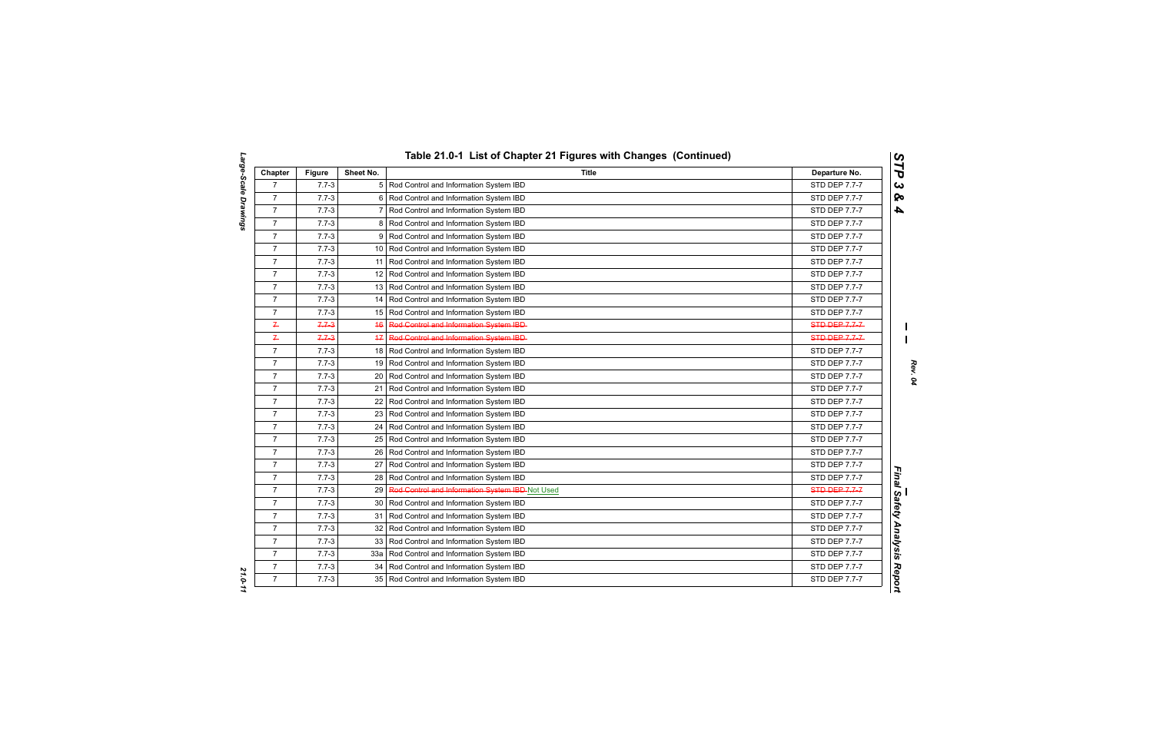| Chapter          | <b>Figure</b> | Sheet No.       | <b>Title</b>                                    | Departure No.        |
|------------------|---------------|-----------------|-------------------------------------------------|----------------------|
| $\overline{7}$   | $7.7 - 3$     |                 | 5 Rod Control and Information System IBD        | STD DEP 7.7-7        |
| $\overline{7}$   | $7.7 - 3$     | 6               | Rod Control and Information System IBD          | STD DEP 7.7-7        |
| $\overline{7}$   | $7.7 - 3$     | 7               | Rod Control and Information System IBD          | STD DEP 7.7-7        |
| $\overline{7}$   | $7.7 - 3$     | 8               | Rod Control and Information System IBD          | STD DEP 7.7-7        |
| $\boldsymbol{7}$ | $7.7 - 3$     | 9               | Rod Control and Information System IBD          | STD DEP 7.7-7        |
| $\overline{7}$   | $7.7 - 3$     |                 | 10 Rod Control and Information System IBD       | STD DEP 7.7-7        |
| $\overline{7}$   | $7.7 - 3$     | 11              | Rod Control and Information System IBD          | STD DEP 7.7-7        |
| $\overline{7}$   | $7.7 - 3$     |                 | 12 Rod Control and Information System IBD       | STD DEP 7.7-7        |
| $\overline{7}$   | $7.7 - 3$     |                 | 13 Rod Control and Information System IBD       | STD DEP 7.7-7        |
| $\overline{7}$   | $7.7 - 3$     | 14              | Rod Control and Information System IBD          | STD DEP 7.7-7        |
| $\overline{7}$   | $7.7 - 3$     | 15              | Rod Control and Information System IBD          | STD DEP 7.7-7        |
| $\overline{r}$   | $7.7 - 3$     | 46              | Red Centrel and Information System IBD          | STD-DEP-7-7-7-       |
| $\leftarrow$     | $7.7 - 3$     | $+7$            | Rod Control and Information System IBD          | STD-DEP-7-7-7-       |
| $\overline{7}$   | $7.7 - 3$     |                 | 18 Rod Control and Information System IBD       | STD DEP 7.7-7        |
| $\overline{7}$   | $7.7 - 3$     |                 | 19 Rod Control and Information System IBD       | STD DEP 7.7-7        |
| $\overline{7}$   | $7.7 - 3$     | 20 <sub>1</sub> | Rod Control and Information System IBD          | <b>STD DEP 7.7-7</b> |
| $\overline{7}$   | $7.7 - 3$     | 21              | Rod Control and Information System IBD          | STD DEP 7.7-7        |
| $\overline{7}$   | $7.7 - 3$     | 22              | Rod Control and Information System IBD          | STD DEP 7.7-7        |
| $\overline{7}$   | $7.7 - 3$     |                 | 23 Rod Control and Information System IBD       | STD DEP 7.7-7        |
| $\overline{7}$   | $7.7 - 3$     | 24              | Rod Control and Information System IBD          | STD DEP 7.7-7        |
| $\overline{7}$   | $7.7 - 3$     |                 | 25 Rod Control and Information System IBD       | STD DEP 7.7-7        |
| $\overline{7}$   | $7.7 - 3$     | 26              | Rod Control and Information System IBD          | STD DEP 7.7-7        |
| $\overline{7}$   | $7.7 - 3$     | 27              | Rod Control and Information System IBD          | STD DEP 7.7-7        |
| $\overline{7}$   | $7.7 - 3$     | 28              | Rod Control and Information System IBD          | STD DEP 7.7-7        |
| $\overline{7}$   | $7.7 - 3$     | 29              | Red Centrel and Information System IBD-Not Used | <b>STD-DEP-7.7-7</b> |
| $\overline{7}$   | $7.7 - 3$     | 30              | Rod Control and Information System IBD          | STD DEP 7.7-7        |
| $\overline{7}$   | $7.7 - 3$     | 31              | Rod Control and Information System IBD          | STD DEP 7.7-7        |
| $\overline{7}$   | $7.7 - 3$     |                 | 32 Rod Control and Information System IBD       | STD DEP 7.7-7        |
| $\overline{7}$   | $7.7 - 3$     | 33              | Rod Control and Information System IBD          | STD DEP 7.7-7        |
| $\overline{7}$   | $7.7 - 3$     | 33a             | Rod Control and Information System IBD          | STD DEP 7.7-7        |
| $\overline{7}$   | $7.7 - 3$     | 34              | Rod Control and Information System IBD          | STD DEP 7.7-7        |
| $\overline{7}$   | $7.7 - 3$     | 35 <sup>1</sup> | Rod Control and Information System IBD          | STD DEP 7.7-7        |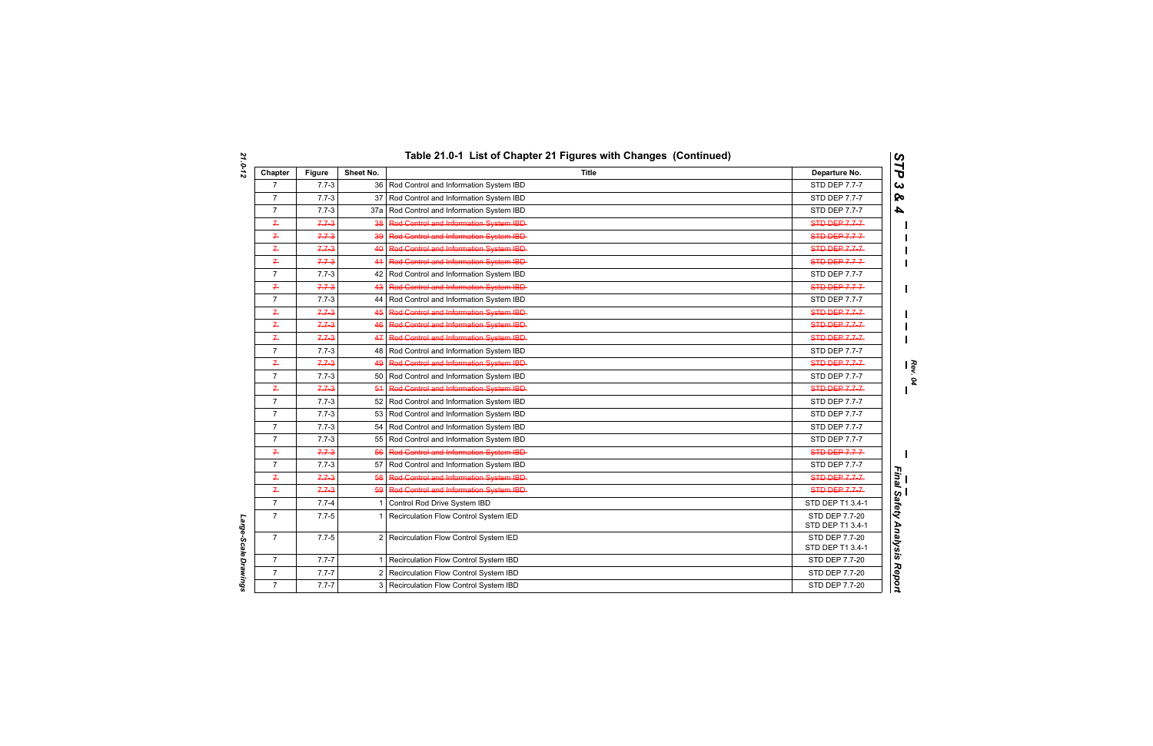| Chapter        | <b>Figure</b> | Sheet No.      | <b>Title</b>                                | Departure No.                      |
|----------------|---------------|----------------|---------------------------------------------|------------------------------------|
| $\overline{7}$ | $7.7 - 3$     |                | 36 Rod Control and Information System IBD   | STD DEP 7.7-7                      |
| $\overline{7}$ | $7.7 - 3$     | 37             | Rod Control and Information System IBD      | STD DEP 7.7-7                      |
| $\overline{7}$ | $7.7 - 3$     | 37a            | Rod Control and Information System IBD      | STD DEP 7.7-7                      |
| $7 -$          | $7.7 - 3$     | 38             | Rod Control and Information System IBD      | <b>STD DEP 7.7-7</b>               |
| $7 -$          | $7.7 - 3$     | 39             | Rod Control and Information System IBD-     | STD DEP 7.7-7-                     |
| $\overline{r}$ | $7.7 - 3$     | 40             | Rod Control and Information System IBD-     | STD DEP 7.7-7-                     |
| $\overline{r}$ | $7.7 - 3$     |                | 44 Red Centrel and Information System IBD-  | <b>STD-DEP-7.7-7-</b>              |
| $\overline{7}$ | $7.7 - 3$     |                | 42 Rod Control and Information System IBD   | STD DEP 7.7-7                      |
| $7 -$          | $7.7 - 3$     | 43             | Rod Control and Information System IBD-     | STD DEP 7.7-7-                     |
| $\overline{7}$ | $7.7 - 3$     |                | 44 Rod Control and Information System IBD   | STD DEP 7.7-7                      |
| $\overline{r}$ | $7.7 - 3$     | 45             | Rod Control and Information System IBD      | <b>STD DEP 7.7-7</b>               |
| $\overline{r}$ | $7.7 - 3$     | 46             | Rod Control and Information System IBD-     | STD DEP 7.7-7-                     |
| $\overline{P}$ | $7.7 - 3$     |                | 47 Red Control and Information System IBD-  | STD-DEP-7-7-7-                     |
| $\overline{7}$ | $7.7 - 3$     |                | 48 Rod Control and Information System IBD   | STD DEP 7.7-7                      |
| $\overline{P}$ | $7.7 - 3$     | 49             | Rod Control and Information System IBD-     | STD DEP 7.7-7-                     |
| $\overline{7}$ | $7.7 - 3$     |                | 50 Rod Control and Information System IBD   | STD DEP 7.7-7                      |
| $\overline{P}$ | $7.7 - 3$     | 54             | Red Centrel and Information System IBD      | STD DEP 7.7-7-                     |
| $\overline{7}$ | $7.7 - 3$     |                | 52 Rod Control and Information System IBD   | STD DEP 7.7-7                      |
| $\overline{7}$ | $7.7 - 3$     |                | 53 Rod Control and Information System IBD   | STD DEP 7.7-7                      |
| $\overline{7}$ | $7.7 - 3$     |                | 54 Rod Control and Information System IBD   | <b>STD DEP 7.7-7</b>               |
| $\overline{7}$ | $7.7 - 3$     |                | 55 Rod Control and Information System IBD   | STD DEP 7.7-7                      |
| $\overline{P}$ | $7.7 - 3$     | 56             | Rod Control and Information System IBD      | STD-DEP-7.7-7-                     |
| $\overline{7}$ | $7.7 - 3$     |                | 57   Rod Control and Information System IBD | STD DEP 7.7-7                      |
| $\overline{P}$ | $7.7 - 3$     | 58             | Rod Control and Information System IBD-     | STD DEP 7.7-7                      |
| $\overline{r}$ | $7.7 - 3$     | 59             | Rod Control and Information System IBD-     | <b>STD-DEP 7.7-7-</b>              |
| $\overline{7}$ | $7.7 - 4$     | $\mathbf{1}$   | Control Rod Drive System IBD                | STD DEP T1 3.4-1                   |
| $\overline{7}$ | $7.7 - 5$     |                | 1 Recirculation Flow Control System IED     | STD DEP 7.7-20<br>STD DEP T1 3.4-1 |
| $\overline{7}$ | $7.7 - 5$     |                | 2 Recirculation Flow Control System IED     | STD DEP 7.7-20<br>STD DEP T1 3.4-1 |
| $\overline{7}$ | $7.7 - 7$     | $\mathbf 1$    | Recirculation Flow Control System IBD       | STD DEP 7.7-20                     |
| $\overline{7}$ | $7.7 - 7$     | $\overline{2}$ | Recirculation Flow Control System IBD       | STD DEP 7.7-20                     |
| $\overline{7}$ | $7.7 - 7$     |                | 3 Recirculation Flow Control System IBD     | STD DEP 7.7-20                     |

Large-Scale Drawings *Large-Scale Drawings*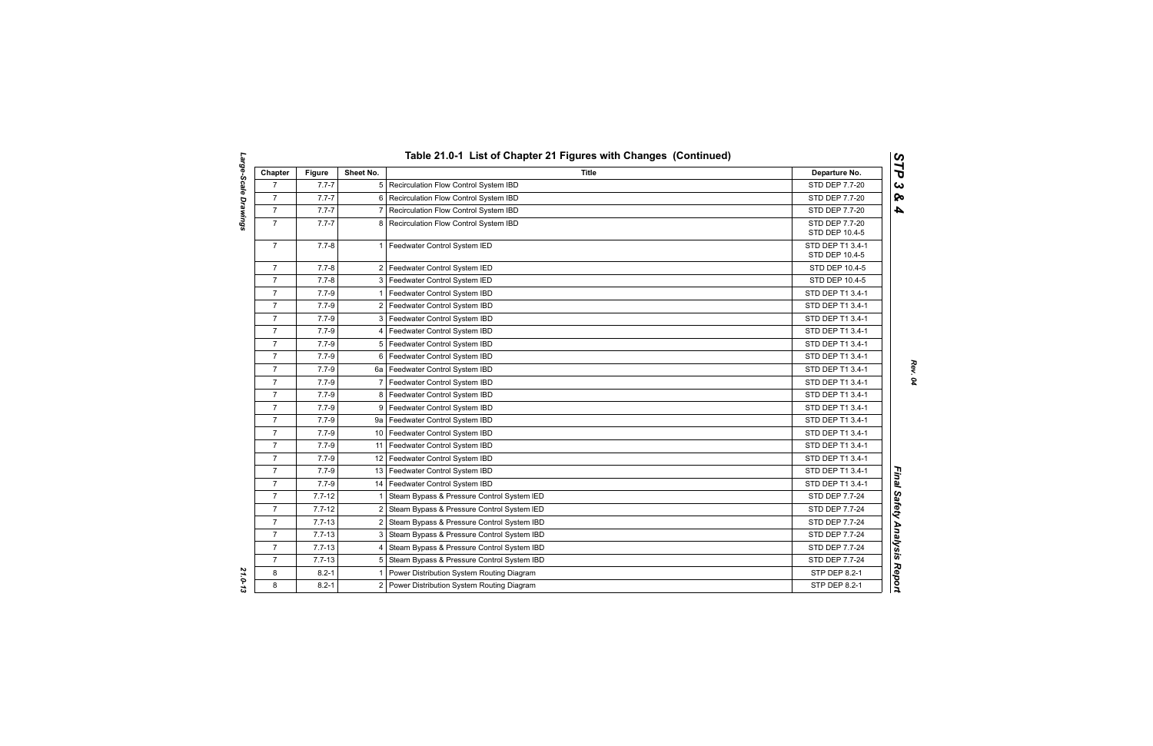| Chapter        | <b>Figure</b> | Sheet No.       | <b>Title</b>                                  | Departure No.                      |
|----------------|---------------|-----------------|-----------------------------------------------|------------------------------------|
| $\overline{7}$ | $7.7 - 7$     |                 | 5 Recirculation Flow Control System IBD       | STD DEP 7.7-20                     |
| $\overline{7}$ | $7.7 - 7$     | 6               | Recirculation Flow Control System IBD         | STD DEP 7.7-20                     |
| $\overline{7}$ | $7.7 - 7$     | $\overline{7}$  | Recirculation Flow Control System IBD         | STD DEP 7.7-20                     |
| $\overline{7}$ | $7.7 - 7$     | 8               | Recirculation Flow Control System IBD         | STD DEP 7.7-20<br>STD DEP 10.4-5   |
| $\overline{7}$ | $7.7 - 8$     | $\mathbf 1$     | Feedwater Control System IED                  | STD DEP T1 3.4-1<br>STD DEP 10.4-5 |
| $\overline{7}$ | $7.7 - 8$     |                 | 2   Feedwater Control System IED              | STD DEP 10.4-5                     |
| $\overline{7}$ | $7.7 - 8$     |                 | 3   Feedwater Control System IED              | STD DEP 10.4-5                     |
| $\overline{7}$ | $7.7 - 9$     | $\mathbf{1}$    | Feedwater Control System IBD                  | STD DEP T1 3.4-1                   |
| $\overline{7}$ | $7.7 - 9$     | $\overline{2}$  | Feedwater Control System IBD                  | STD DEP T1 3.4-1                   |
| $\overline{7}$ | $7.7 - 9$     |                 | 3 Feedwater Control System IBD                | STD DEP T1 3.4-1                   |
| $\overline{7}$ | $7.7 - 9$     | 4 <sup>1</sup>  | Feedwater Control System IBD                  | STD DEP T1 3.4-1                   |
| $\overline{7}$ | $7.7 - 9$     |                 | 5   Feedwater Control System IBD              | STD DEP T1 3.4-1                   |
| $\overline{7}$ | $7.7 - 9$     |                 | 6 Feedwater Control System IBD                | STD DEP T1 3.4-1                   |
| $\overline{7}$ | $7.7 - 9$     |                 | 6a   Feedwater Control System IBD             | STD DEP T1 3.4-1                   |
| $\overline{7}$ | $7.7 - 9$     | $\overline{7}$  | Feedwater Control System IBD                  | STD DEP T1 3.4-1                   |
| $\overline{7}$ | $7.7 - 9$     | 8               | Feedwater Control System IBD                  | STD DEP T1 3.4-1                   |
| $\overline{7}$ | $7.7 - 9$     |                 | 9 Feedwater Control System IBD                | STD DEP T1 3.4-1                   |
| $\overline{7}$ | $7.7 - 9$     | 9a              | Feedwater Control System IBD                  | STD DEP T1 3.4-1                   |
| $\overline{7}$ | $7.7 - 9$     |                 | 10   Feedwater Control System IBD             | STD DEP T1 3.4-1                   |
| $\overline{7}$ | $7.7 - 9$     |                 | 11   Feedwater Control System IBD             | STD DEP T1 3.4-1                   |
| $\overline{7}$ | $7.7 - 9$     |                 | 12 Feedwater Control System IBD               | STD DEP T1 3.4-1                   |
| $\overline{7}$ | $7.7 - 9$     | 13 <sub>l</sub> | Feedwater Control System IBD                  | STD DEP T1 3.4-1                   |
| $\overline{7}$ | $7.7 - 9$     |                 | 14 Feedwater Control System IBD               | STD DEP T1 3.4-1                   |
| $\overline{7}$ | $7.7 - 12$    | 1               | Steam Bypass & Pressure Control System IED    | STD DEP 7.7-24                     |
| $\overline{7}$ | $7.7 - 12$    | $\overline{2}$  | Steam Bypass & Pressure Control System IED    | STD DEP 7.7-24                     |
| $\overline{7}$ | $7.7 - 13$    | 2 <sub>1</sub>  | Steam Bypass & Pressure Control System IBD    | STD DEP 7.7-24                     |
| $\overline{7}$ | $7.7 - 13$    | 3               | Steam Bypass & Pressure Control System IBD    | STD DEP 7.7-24                     |
| $\overline{7}$ | $7.7 - 13$    | 4               | Steam Bypass & Pressure Control System IBD    | STD DEP 7.7-24                     |
| $\overline{7}$ | $7.7 - 13$    | 5               | Steam Bypass & Pressure Control System IBD    | STD DEP 7.7-24                     |
| 8              | $8.2 - 1$     |                 | Power Distribution System Routing Diagram     | STP DEP 8.2-1                      |
| 8              | $8.2 - 1$     |                 | 2   Power Distribution System Routing Diagram | STP DEP 8.2-1                      |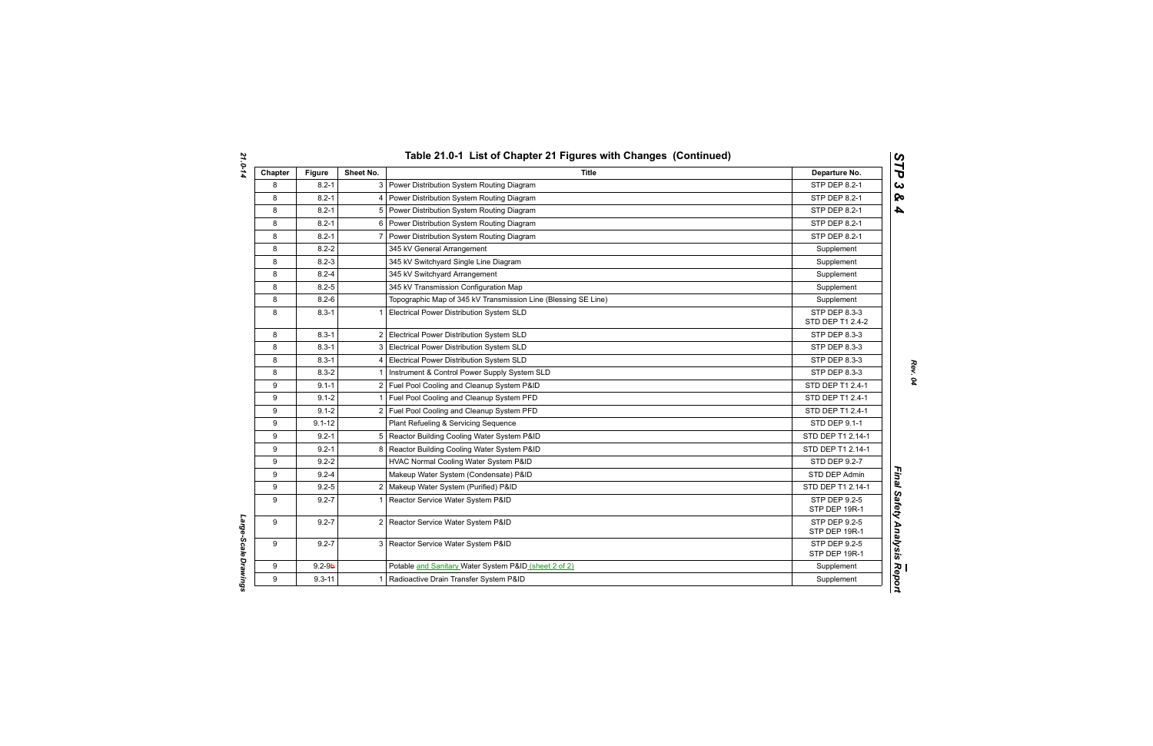| Chapter | <b>Figure</b> | Sheet No.      | <b>Title</b>                                                   | Departure No.                         |
|---------|---------------|----------------|----------------------------------------------------------------|---------------------------------------|
| 8       | $8.2 - 1$     | 3              | Power Distribution System Routing Diagram                      | STP DEP 8.2-1                         |
| 8       | $8.2 - 1$     | 4              | Power Distribution System Routing Diagram                      | STP DEP 8.2-1                         |
| 8       | $8.2 - 1$     | 5              | Power Distribution System Routing Diagram                      | STP DEP 8.2-1                         |
| 8       | $8.2 - 1$     | 6              | Power Distribution System Routing Diagram                      | STP DEP 8.2-1                         |
| 8       | $8.2 - 1$     |                | Power Distribution System Routing Diagram                      | STP DEP 8.2-1                         |
| 8       | $8.2 - 2$     |                | 345 kV General Arrangement                                     | Supplement                            |
| 8       | $8.2 - 3$     |                | 345 kV Switchyard Single Line Diagram                          | Supplement                            |
| 8       | $8.2 - 4$     |                | 345 kV Switchyard Arrangement                                  | Supplement                            |
| 8       | $8.2 - 5$     |                | 345 kV Transmission Configuration Map                          | Supplement                            |
| 8       | $8.2 - 6$     |                | Topographic Map of 345 kV Transmission Line (Blessing SE Line) | Supplement                            |
| 8       | $8.3 - 1$     |                | Electrical Power Distribution System SLD                       | STP DEP 8.3-3<br>STD DEP T1 2.4-2     |
| 8       | $8.3 - 1$     | 2              | Electrical Power Distribution System SLD                       | STP DEP 8.3-3                         |
| 8       | $8.3 - 1$     | 3              | Electrical Power Distribution System SLD                       | STP DEP 8.3-3                         |
| 8       | $8.3 - 1$     | 4              | Electrical Power Distribution System SLD                       | STP DEP 8.3-3                         |
| 8       | $8.3 - 2$     |                | Instrument & Control Power Supply System SLD                   | STP DEP 8.3-3                         |
| 9       | $9.1 - 1$     |                | 2 Fuel Pool Cooling and Cleanup System P&ID                    | STD DEP T1 2.4-1                      |
| 9       | $9.1 - 2$     |                | Fuel Pool Cooling and Cleanup System PFD                       | STD DEP T1 2.4-1                      |
| 9       | $9.1 - 2$     |                | 2 Fuel Pool Cooling and Cleanup System PFD                     | STD DEP T1 2.4-1                      |
| 9       | $9.1 - 12$    |                | Plant Refueling & Servicing Sequence                           | STD DEP 9.1-1                         |
| 9       | $9.2 - 1$     | 5              | Reactor Building Cooling Water System P&ID                     | STD DEP T1 2.14-1                     |
| 9       | $9.2 - 1$     | 8              | Reactor Building Cooling Water System P&ID                     | STD DEP T1 2.14-1                     |
| 9       | $9.2 - 2$     |                | HVAC Normal Cooling Water System P&ID                          | <b>STD DEP 9.2-7</b>                  |
| 9       | $9.2 - 4$     |                | Makeup Water System (Condensate) P&ID                          | STD DEP Admin                         |
| 9       | $9.2 - 5$     | $\overline{2}$ | Makeup Water System (Purified) P&ID                            | STD DEP T1 2.14-1                     |
| 9       | $9.2 - 7$     |                | Reactor Service Water System P&ID                              | <b>STP DEP 9.2-5</b><br>STP DEP 19R-1 |
| 9       | $9.2 - 7$     | $\overline{2}$ | Reactor Service Water System P&ID                              | STP DEP 9.2-5<br>STP DEP 19R-1        |
| 9       | $9.2 - 7$     |                | 3 Reactor Service Water System P&ID                            | STP DEP 9.2-5<br>STP DEP 19R-1        |
| 9       | $9.2 - 9b$    |                | Potable and Sanitary Water System P&ID (sheet 2 of 2)          | Supplement                            |
| 9       | $9.3 - 11$    |                | Radioactive Drain Transfer System P&ID                         | Supplement                            |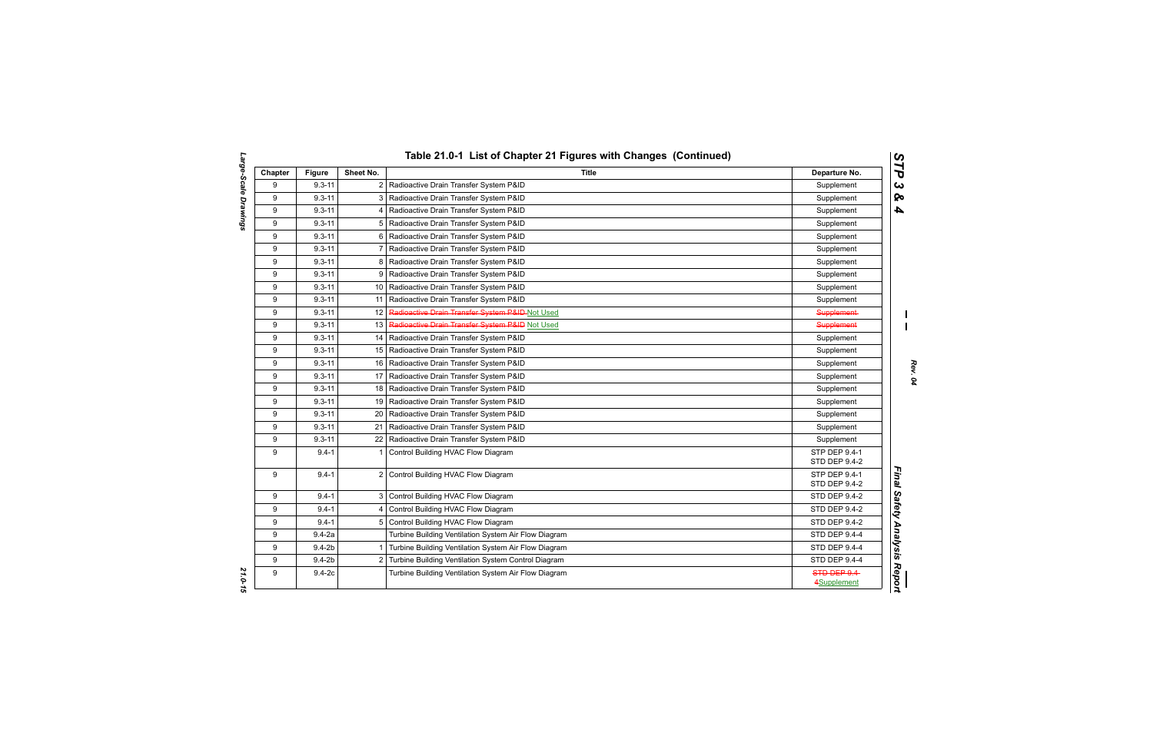|         |               |                 | Table 21.0-1 List of Chapter 21 Figures with Changes (Continued) |                                |  |
|---------|---------------|-----------------|------------------------------------------------------------------|--------------------------------|--|
| Chapter | <b>Figure</b> | Sheet No.       | Title                                                            | Departure No.                  |  |
| 9       | $9.3 - 11$    | $\overline{2}$  | Radioactive Drain Transfer System P&ID                           | Supplement                     |  |
| 9       | $9.3 - 11$    | 3 <sup>1</sup>  | Radioactive Drain Transfer System P&ID                           | Supplement                     |  |
| 9       | $9.3 - 11$    | 4               | Radioactive Drain Transfer System P&ID                           | Supplement                     |  |
| 9       | $9.3 - 11$    | 5               | Radioactive Drain Transfer System P&ID                           | Supplement                     |  |
| 9       | $9.3 - 11$    | 6               | Radioactive Drain Transfer System P&ID                           | Supplement                     |  |
| 9       | $9.3 - 11$    | 7               | Radioactive Drain Transfer System P&ID                           | Supplement                     |  |
| 9       | $9.3 - 11$    | 8               | Radioactive Drain Transfer System P&ID                           | Supplement                     |  |
| 9       | $9.3 - 11$    |                 | 9   Radioactive Drain Transfer System P&ID                       | Supplement                     |  |
| 9       | $9.3 - 11$    |                 | 10   Radioactive Drain Transfer System P&ID                      | Supplement                     |  |
| 9       | $9.3 - 11$    | 11              | Radioactive Drain Transfer System P&ID                           | Supplement                     |  |
| 9       | $9.3 - 11$    | 12 <sup>°</sup> | Radioactive Drain Transfer System P&ID-Not Used                  | Supplement-                    |  |
| 9       | $9.3 - 11$    | 13              | Radioactive Drain Transfer System P&ID Not Used                  | <b>Supplement</b>              |  |
| 9       | $9.3 - 11$    |                 | 14   Radioactive Drain Transfer System P&ID                      | Supplement                     |  |
| 9       | $9.3 - 11$    |                 | 15   Radioactive Drain Transfer System P&ID                      | Supplement                     |  |
| 9       | $9.3 - 11$    |                 | 16   Radioactive Drain Transfer System P&ID                      | Supplement                     |  |
| 9       | $9.3 - 11$    | 17 <sup>1</sup> | Radioactive Drain Transfer System P&ID                           | Supplement                     |  |
| 9       | $9.3 - 11$    | 18              | Radioactive Drain Transfer System P&ID                           | Supplement                     |  |
| 9       | $9.3 - 11$    | 19 I            | Radioactive Drain Transfer System P&ID                           | Supplement                     |  |
| 9       | $9.3 - 11$    | 20              | Radioactive Drain Transfer System P&ID                           | Supplement                     |  |
| 9       | $9.3 - 11$    | 21              | Radioactive Drain Transfer System P&ID                           | Supplement                     |  |
| 9       | $9.3 - 11$    |                 | 22   Radioactive Drain Transfer System P&ID                      | Supplement                     |  |
| 9       | $9.4 - 1$     | 1               | Control Building HVAC Flow Diagram                               | STP DEP 9.4-1<br>STD DEP 9.4-2 |  |
| 9       | $9.4 - 1$     | $\overline{2}$  | Control Building HVAC Flow Diagram                               | STP DEP 9.4-1<br>STD DEP 9.4-2 |  |
| 9       | $9.4 - 1$     |                 | 3 Control Building HVAC Flow Diagram                             | STD DEP 9.4-2                  |  |
| 9       | $9.4 - 1$     | 4               | Control Building HVAC Flow Diagram                               | STD DEP 9.4-2                  |  |
| 9       | $9.4 - 1$     | 5               | Control Building HVAC Flow Diagram                               | <b>STD DEP 9.4-2</b>           |  |
| 9       | $9.4 - 2a$    |                 | Turbine Building Ventilation System Air Flow Diagram             | STD DEP 9.4-4                  |  |
| 9       | $9.4 - 2b$    | $\mathbf 1$     | Turbine Building Ventilation System Air Flow Diagram             | STD DEP 9.4-4                  |  |
| 9       | $9.4 - 2b$    | $\overline{2}$  | Turbine Building Ventilation System Control Diagram              | <b>STD DEP 9.4-4</b>           |  |
| 9       | $9.4 - 2c$    |                 | Turbine Building Ventilation System Air Flow Diagram             | STD DEP 9.4                    |  |
|         |               |                 |                                                                  | 4Supplement                    |  |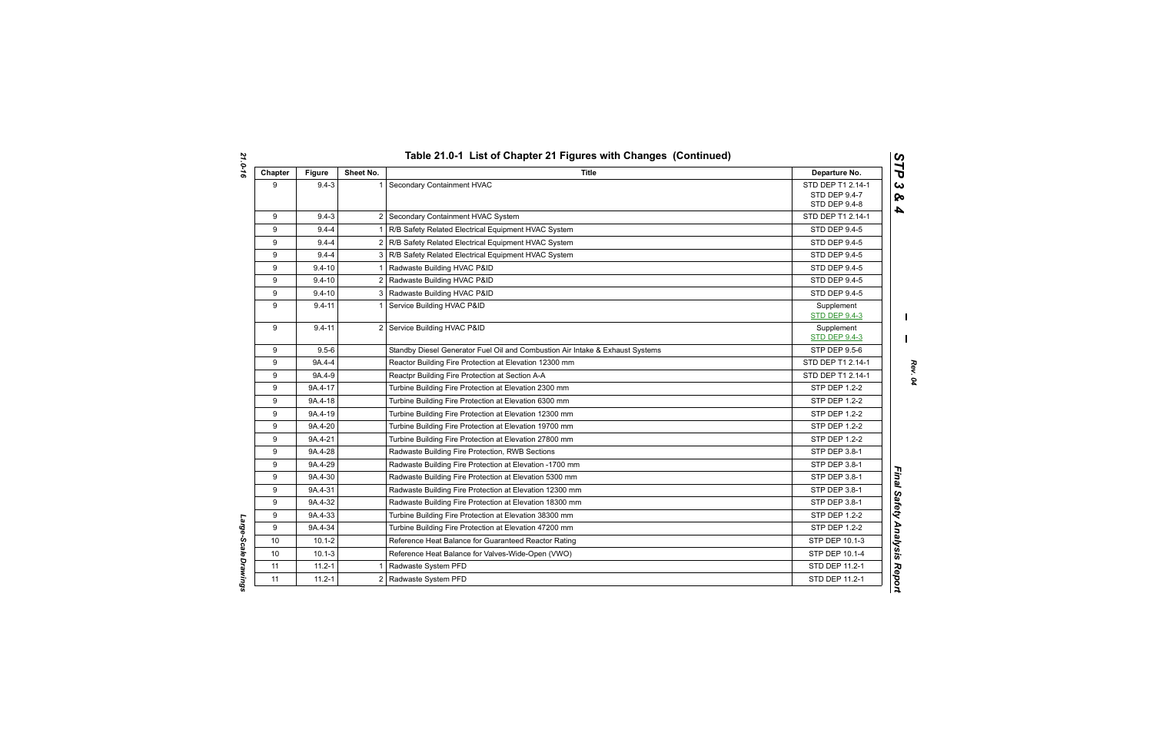| Chapter | <b>Figure</b> | Sheet No.      | <b>Title</b>                                                                  | Departure No.                                       |
|---------|---------------|----------------|-------------------------------------------------------------------------------|-----------------------------------------------------|
| 9       | $9.4 - 3$     | $\overline{1}$ | Secondary Containment HVAC                                                    | STD DEP T1 2.14-1<br>STD DEP 9.4-7<br>STD DEP 9.4-8 |
| 9       | $9.4 - 3$     |                | 2 Secondary Containment HVAC System                                           | STD DEP T1 2.14-1                                   |
| 9       | $9.4 - 4$     | $\mathbf 1$    | R/B Safety Related Electrical Equipment HVAC System                           | <b>STD DEP 9.4-5</b>                                |
| 9       | $9.4 - 4$     |                | 2   R/B Safety Related Electrical Equipment HVAC System                       | <b>STD DEP 9.4-5</b>                                |
| 9       | $9.4 - 4$     |                | 3   R/B Safety Related Electrical Equipment HVAC System                       | STD DEP 9.4-5                                       |
| 9       | $9.4 - 10$    | $\mathbf 1$    | Radwaste Building HVAC P&ID                                                   | STD DEP 9.4-5                                       |
| 9       | $9.4 - 10$    |                | 2 Radwaste Building HVAC P&ID                                                 | STD DEP 9.4-5                                       |
| 9       | $9.4 - 10$    |                | 3 Radwaste Building HVAC P&ID                                                 | <b>STD DEP 9.4-5</b>                                |
| 9       | $9.4 - 11$    | $\overline{1}$ | Service Building HVAC P&ID                                                    | Supplement<br><b>STD DEP 9.4-3</b>                  |
| 9       | $9.4 - 11$    |                | 2 Service Building HVAC P&ID                                                  | Supplement<br><b>STD DEP 9.4-3</b>                  |
| 9       | $9.5 - 6$     |                | Standby Diesel Generator Fuel Oil and Combustion Air Intake & Exhaust Systems | STP DEP 9.5-6                                       |
| 9       | 9A.4-4        |                | Reactor Building Fire Protection at Elevation 12300 mm                        | STD DEP T1 2.14-1                                   |
| 9       | 9A.4-9        |                | Reactpr Building Fire Protection at Section A-A                               | STD DEP T1 2.14-1                                   |
| 9       | 9A.4-17       |                | Turbine Building Fire Protection at Elevation 2300 mm                         | <b>STP DEP 1.2-2</b>                                |
| 9       | 9A.4-18       |                | Turbine Building Fire Protection at Elevation 6300 mm                         | STP DEP 1.2-2                                       |
| 9       | 9A.4-19       |                | Turbine Building Fire Protection at Elevation 12300 mm                        | STP DEP 1.2-2                                       |
| 9       | 9A.4-20       |                | Turbine Building Fire Protection at Elevation 19700 mm                        | STP DEP 1.2-2                                       |
| 9       | 9A.4-21       |                | Turbine Building Fire Protection at Elevation 27800 mm                        | STP DEP 1.2-2                                       |
| 9       | 9A.4-28       |                | Radwaste Building Fire Protection, RWB Sections                               | STP DEP 3.8-1                                       |
| 9       | 9A.4-29       |                | Radwaste Building Fire Protection at Elevation -1700 mm                       | <b>STP DEP 3.8-1</b>                                |
| 9       | 9A.4-30       |                | Radwaste Building Fire Protection at Elevation 5300 mm                        | STP DEP 3.8-1                                       |
| 9       | 9A.4-31       |                | Radwaste Building Fire Protection at Elevation 12300 mm                       | STP DEP 3.8-1                                       |
| 9       | 9A.4-32       |                | Radwaste Building Fire Protection at Elevation 18300 mm                       | STP DEP 3.8-1                                       |
| 9       | 9A.4-33       |                | Turbine Building Fire Protection at Elevation 38300 mm                        | STP DEP 1.2-2                                       |
| 9       | 9A.4-34       |                | Turbine Building Fire Protection at Elevation 47200 mm                        | <b>STP DEP 1.2-2</b>                                |
| 10      | $10.1 - 2$    |                | Reference Heat Balance for Guaranteed Reactor Rating                          | STP DEP 10.1-3                                      |
| 10      | $10.1 - 3$    |                | Reference Heat Balance for Valves-Wide-Open (VWO)                             | STP DEP 10.1-4                                      |
| 11      | $11.2 - 1$    | -1             | Radwaste System PFD                                                           | STD DEP 11.2-1                                      |
| 11      | $11.2 - 1$    |                | 2 Radwaste System PFD                                                         | STD DEP 11.2-1                                      |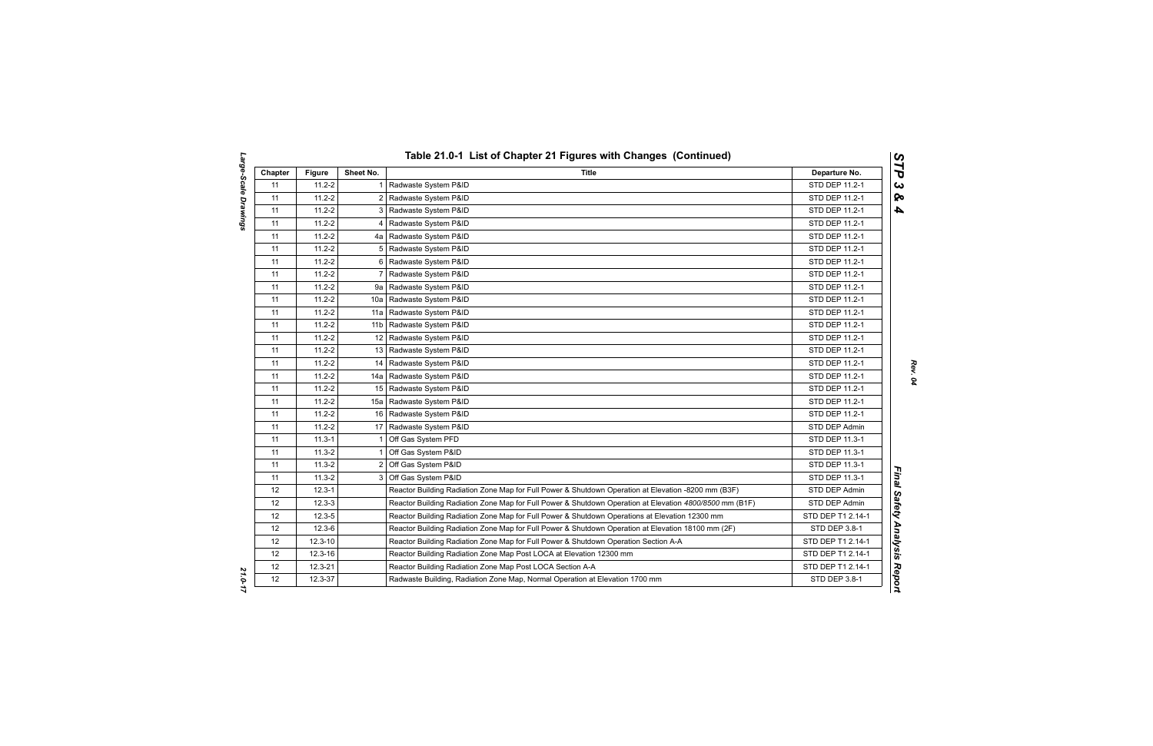| Chapter | <b>Figure</b> | Sheet No.      | Title                                                                                                   | Departure No.     |
|---------|---------------|----------------|---------------------------------------------------------------------------------------------------------|-------------------|
| 11      | $11.2 - 2$    | $\mathbf{1}$   | Radwaste System P&ID                                                                                    | STD DEP 11.2-1    |
| 11      | $11.2 - 2$    |                | 2 Radwaste System P&ID                                                                                  | STD DEP 11.2-1    |
| 11      | $11.2 - 2$    |                | 3   Radwaste System P&ID                                                                                | STD DEP 11.2-1    |
| 11      | $11.2 - 2$    | 4              | Radwaste System P&ID                                                                                    | STD DEP 11.2-1    |
| 11      | $11.2 - 2$    |                | 4a   Radwaste System P&ID                                                                               | STD DEP 11.2-1    |
| 11      | $11.2 - 2$    | 5              | Radwaste System P&ID                                                                                    | STD DEP 11.2-1    |
| 11      | $11.2 - 2$    | 6              | Radwaste System P&ID                                                                                    | STD DEP 11.2-1    |
| 11      | $11.2 - 2$    | $\overline{7}$ | Radwaste System P&ID                                                                                    | STD DEP 11.2-1    |
| 11      | $11.2 - 2$    |                | 9a   Radwaste System P&ID                                                                               | STD DEP 11.2-1    |
| 11      | $11.2 - 2$    |                | 10a   Radwaste System P&ID                                                                              | STD DEP 11.2-1    |
| 11      | $11.2 - 2$    |                | 11a   Radwaste System P&ID                                                                              | STD DEP 11.2-1    |
| 11      | $11.2 - 2$    |                | 11b   Radwaste System P&ID                                                                              | STD DEP 11.2-1    |
| 11      | $11.2 - 2$    |                | 12 Radwaste System P&ID                                                                                 | STD DEP 11.2-1    |
| 11      | $11.2 - 2$    |                | 13 Radwaste System P&ID                                                                                 | STD DEP 11.2-1    |
| 11      | $11.2 - 2$    |                | 14 Radwaste System P&ID                                                                                 | STD DEP 11.2-1    |
| 11      | $11.2 - 2$    |                | 14a   Radwaste System P&ID                                                                              | STD DEP 11.2-1    |
| 11      | $11.2 - 2$    | 15             | Radwaste System P&ID                                                                                    | STD DEP 11.2-1    |
| 11      | $11.2 - 2$    | 15a l          | Radwaste System P&ID                                                                                    | STD DEP 11.2-1    |
| 11      | $11.2 - 2$    |                | 16 Radwaste System P&ID                                                                                 | STD DEP 11.2-1    |
| 11      | $11.2 - 2$    |                | 17 Radwaste System P&ID                                                                                 | STD DEP Admin     |
| 11      | $11.3 - 1$    | $\mathbf 1$    | Off Gas System PFD                                                                                      | STD DEP 11.3-1    |
| 11      | $11.3 - 2$    | 1              | Off Gas System P&ID                                                                                     | STD DEP 11.3-1    |
| 11      | $11.3 - 2$    | 2              | Off Gas System P&ID                                                                                     | STD DEP 11.3-1    |
| 11      | $11.3 - 2$    |                | 3 Off Gas System P&ID                                                                                   | STD DEP 11.3-1    |
| 12      | $12.3 - 1$    |                | Reactor Building Radiation Zone Map for Full Power & Shutdown Operation at Elevation -8200 mm (B3F)     | STD DEP Admin     |
| 12      | $12.3 - 3$    |                | Reactor Building Radiation Zone Map for Full Power & Shutdown Operation at Elevation 4800/8500 mm (B1F) | STD DEP Admin     |
| 12      | $12.3 - 5$    |                | Reactor Building Radiation Zone Map for Full Power & Shutdown Operations at Elevation 12300 mm          | STD DEP T1 2.14-1 |
| 12      | $12.3 - 6$    |                | Reactor Building Radiation Zone Map for Full Power & Shutdown Operation at Elevation 18100 mm (2F)      | STD DEP 3.8-1     |
| 12      | $12.3 - 10$   |                | Reactor Building Radiation Zone Map for Full Power & Shutdown Operation Section A-A                     | STD DEP T1 2.14-1 |
| 12      | $12.3 - 16$   |                | Reactor Building Radiation Zone Map Post LOCA at Elevation 12300 mm                                     | STD DEP T1 2.14-1 |
| 12      | 12.3-21       |                | Reactor Building Radiation Zone Map Post LOCA Section A-A                                               | STD DEP T1 2.14-1 |
| 12      | 12.3-37       |                | Radwaste Building, Radiation Zone Map, Normal Operation at Elevation 1700 mm                            | STD DEP 3.8-1     |